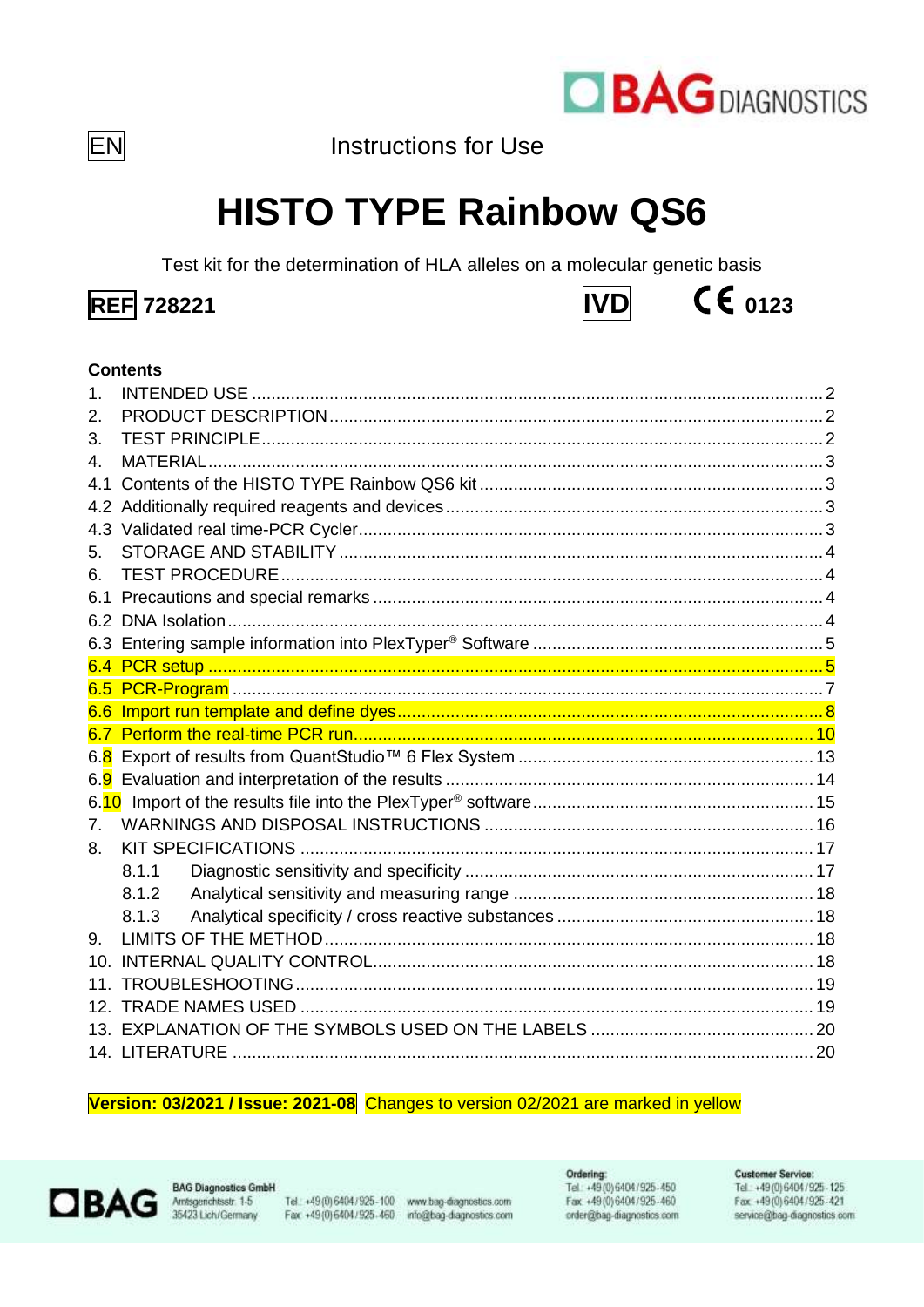

EN

Instructions for Use

# **HISTO TYPE Rainbow QS6**

Test kit for the determination of HLA alleles on a molecular genetic basis





# **Contents**

| 1.              | <b>INTENDED USE</b> |  |
|-----------------|---------------------|--|
| 2.              |                     |  |
| 3.              |                     |  |
| 4.              |                     |  |
| 4.1             |                     |  |
|                 |                     |  |
|                 |                     |  |
| 5.              |                     |  |
| 6.              |                     |  |
|                 |                     |  |
|                 |                     |  |
|                 |                     |  |
|                 |                     |  |
|                 |                     |  |
|                 |                     |  |
|                 |                     |  |
|                 |                     |  |
|                 |                     |  |
|                 |                     |  |
| 7 <sub>1</sub>  |                     |  |
| 8.              |                     |  |
|                 | 8.1.1               |  |
|                 | 8.1.2               |  |
|                 | 8.1.3               |  |
| 9.              |                     |  |
| 10.             |                     |  |
| 11 <sub>1</sub> |                     |  |
| 12.             |                     |  |
|                 |                     |  |
|                 |                     |  |

#### Version: 03/2021 / Issue: 2021-08 Changes to version 02/2021 are marked in yellow



**BAG Diagnostics GmbH** Amsgerichtsstr. 1-5<br>35423 Lich/Germany

Tel.: +49(0) 6404/925-100 www.bag-diagnostics.com Fax: +49(0)6404/925-460 info@bag-diagnostics.com Ordering: Tel: +49(0)6404/925-450 Fax: +49 (0) 6404 / 925-460 order@bag-diagnostics.com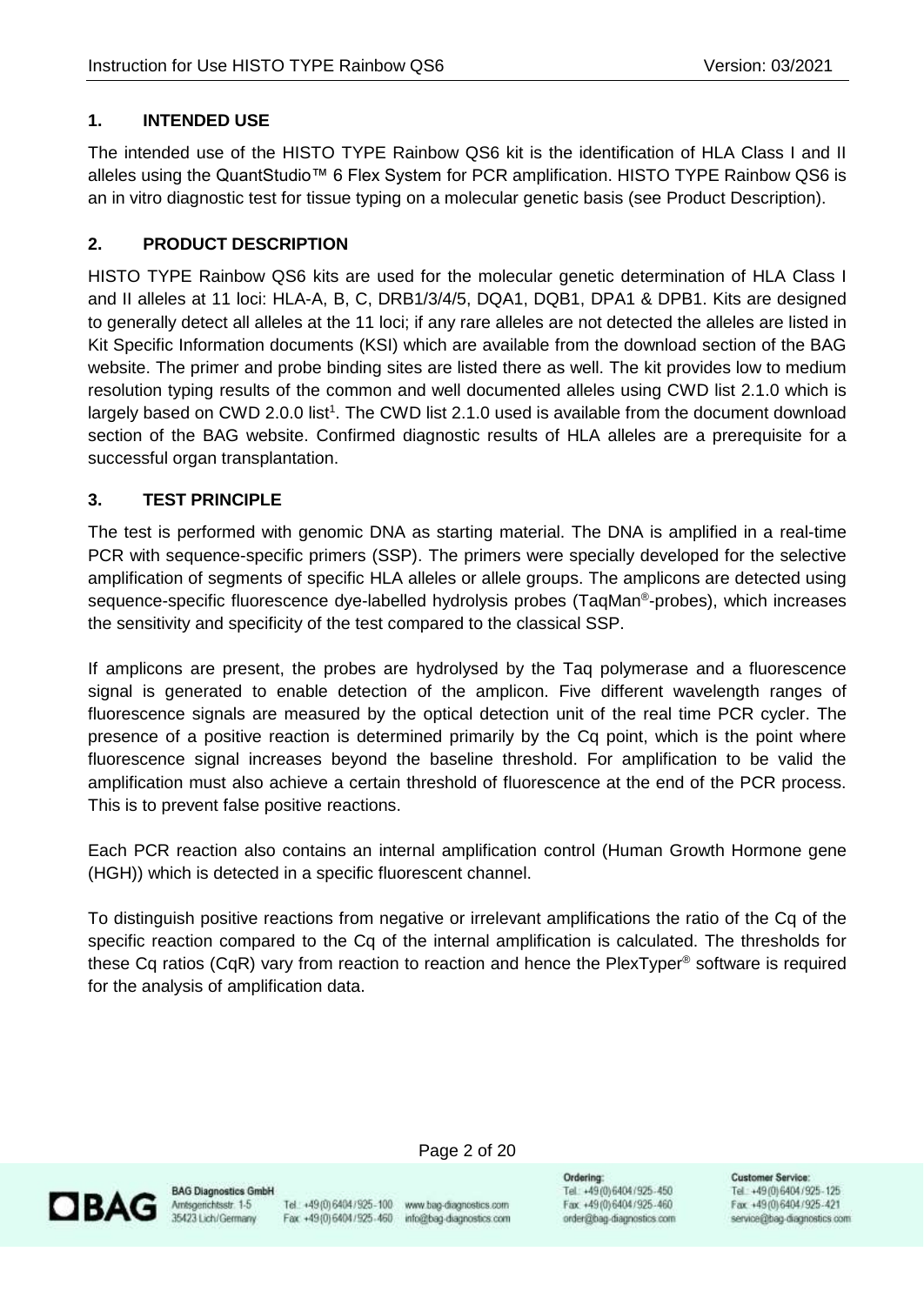# <span id="page-1-0"></span>**1. INTENDED USE**

The intended use of the HISTO TYPE Rainbow QS6 kit is the identification of HLA Class I and II alleles using the QuantStudio™ 6 Flex System for PCR amplification. HISTO TYPE Rainbow QS6 is an in vitro diagnostic test for tissue typing on a molecular genetic basis (see Product Description).

# <span id="page-1-1"></span>**2. PRODUCT DESCRIPTION**

HISTO TYPE Rainbow QS6 kits are used for the molecular genetic determination of HLA Class I and II alleles at 11 loci: HLA-A, B, C, DRB1/3/4/5, DQA1, DQB1, DPA1 & DPB1. Kits are designed to generally detect all alleles at the 11 loci; if any rare alleles are not detected the alleles are listed in Kit Specific Information documents (KSI) which are available from the download section of the BAG website. The primer and probe binding sites are listed there as well. The kit provides low to medium resolution typing results of the common and well documented alleles using CWD list 2.1.0 which is largely based on CWD 2.0.0 list<sup>1</sup>. The CWD list 2.1.0 used is available from the document download section of the BAG website. Confirmed diagnostic results of HLA alleles are a prerequisite for a successful organ transplantation.

# <span id="page-1-2"></span>**3. TEST PRINCIPLE**

The test is performed with genomic DNA as starting material. The DNA is amplified in a real-time PCR with sequence-specific primers (SSP). The primers were specially developed for the selective amplification of segments of specific HLA alleles or allele groups. The amplicons are detected using sequence-specific fluorescence dye-labelled hydrolysis probes (TaqMan®-probes), which increases the sensitivity and specificity of the test compared to the classical SSP.

If amplicons are present, the probes are hydrolysed by the Taq polymerase and a fluorescence signal is generated to enable detection of the amplicon. Five different wavelength ranges of fluorescence signals are measured by the optical detection unit of the real time PCR cycler. The presence of a positive reaction is determined primarily by the Cq point, which is the point where fluorescence signal increases beyond the baseline threshold. For amplification to be valid the amplification must also achieve a certain threshold of fluorescence at the end of the PCR process. This is to prevent false positive reactions.

Each PCR reaction also contains an internal amplification control (Human Growth Hormone gene (HGH)) which is detected in a specific fluorescent channel.

To distinguish positive reactions from negative or irrelevant amplifications the ratio of the Cq of the specific reaction compared to the Cq of the internal amplification is calculated. The thresholds for these Cq ratios (CqR) vary from reaction to reaction and hence the PlexTyper® software is required for the analysis of amplification data.



**BAG Diagnostics GmbH** 

Tel.: +49(0) 6404/925-100 www.bag-diagnostics.com Fax: +49(0)6404/925-460 info@bag-diagnostics.com

Page 2 of 20

Ordering: Tel: +49(0)6404/925-450 Fax: +49 (0) 6404 / 925-460 order@bag-diagnostics.com **Customer Service:**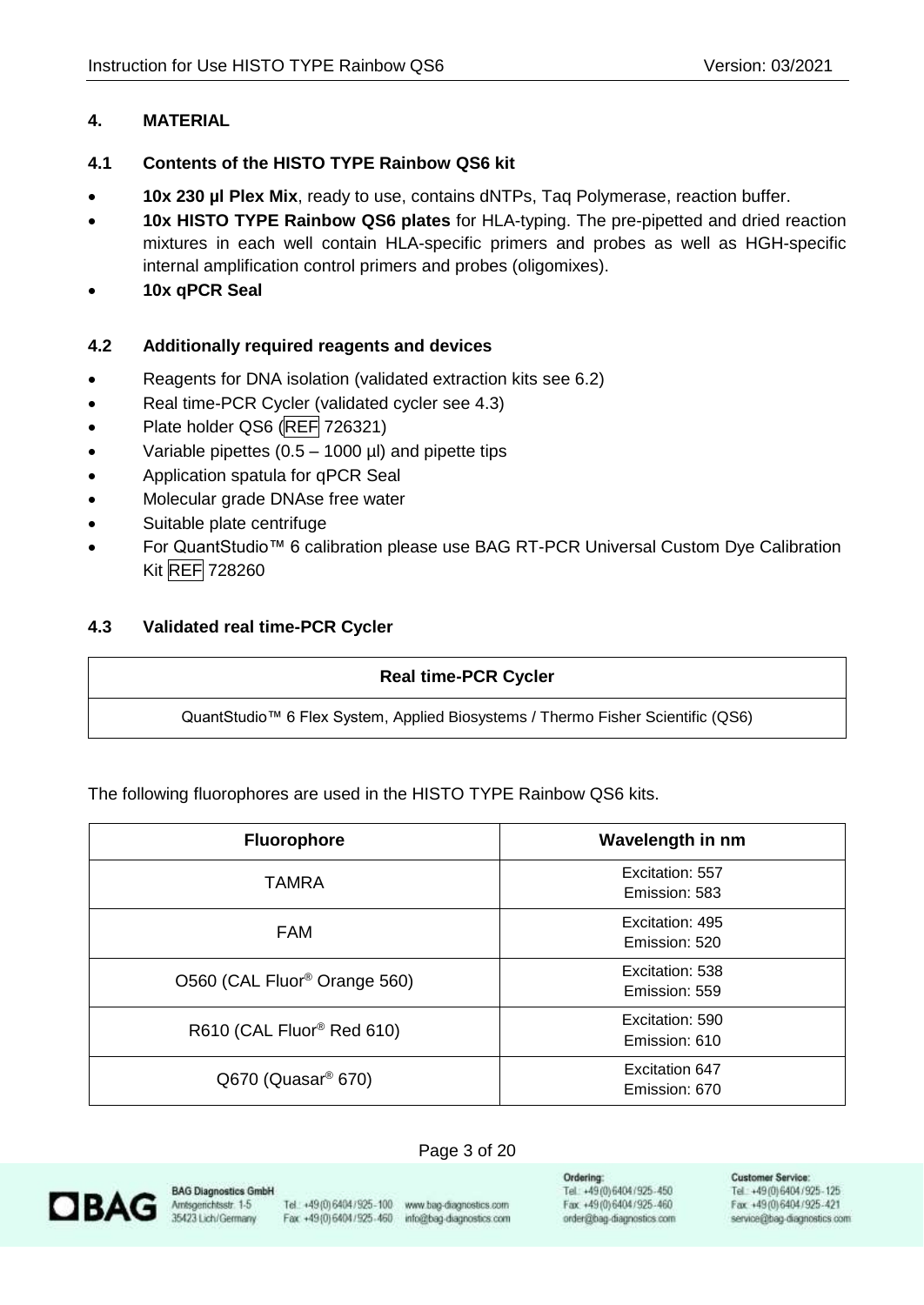# <span id="page-2-0"></span>**4. MATERIAL**

# <span id="page-2-1"></span>**4.1 Contents of the HISTO TYPE Rainbow QS6 kit**

- **10x 230 µl Plex Mix**, ready to use, contains dNTPs, Taq Polymerase, reaction buffer.
- **10x HISTO TYPE Rainbow QS6 plates** for HLA-typing. The pre-pipetted and dried reaction mixtures in each well contain HLA-specific primers and probes as well as HGH-specific internal amplification control primers and probes (oligomixes).
- **10x qPCR Seal**

## <span id="page-2-2"></span>**4.2 Additionally required reagents and devices**

- Reagents for DNA isolation (validated extraction kits see 6.2)
- Real time-PCR Cycler (validated cycler see 4.3)
- Plate holder QS6 (REF 726321)
- Variable pipettes  $(0.5 1000 \,\mu l)$  and pipette tips
- Application spatula for qPCR Seal
- Molecular grade DNAse free water
- Suitable plate centrifuge
- For QuantStudio™ 6 calibration please use BAG RT-PCR Universal Custom Dye Calibration Kit REF 728260

## <span id="page-2-3"></span>**4.3 Validated real time-PCR Cycler**

#### **Real time-PCR Cycler**

QuantStudio™ 6 Flex System, Applied Biosystems / Thermo Fisher Scientific (QS6)

The following fluorophores are used in the HISTO TYPE Rainbow QS6 kits.

| <b>Fluorophore</b>                       | Wavelength in nm                 |
|------------------------------------------|----------------------------------|
| TAMRA                                    | Excitation: 557<br>Emission: 583 |
| <b>FAM</b>                               | Excitation: 495<br>Emission: 520 |
| O560 (CAL Fluor <sup>®</sup> Orange 560) | Excitation: 538<br>Emission: 559 |
| R610 (CAL Fluor <sup>®</sup> Red 610)    | Excitation: 590<br>Emission: 610 |
| $Q670$ (Quasar <sup>®</sup> 670)         | Excitation 647<br>Emission: 670  |

#### Page 3 of 20



**BAG Diagnostics GmbH** Amsgerichtsstr. 1-5 35423 Lich/Germany

Tel.: +49 (0) 6404 / 925 - 100 www.bag-diagnostics.com Fax: +49(0)6404/925-460 info@bag-diagnostics.com

Ordering: Tel: +49(0)6404/925-450 Fax: +49(0)6404/925-460 order@bag-diagnostics.com **Customer Service:**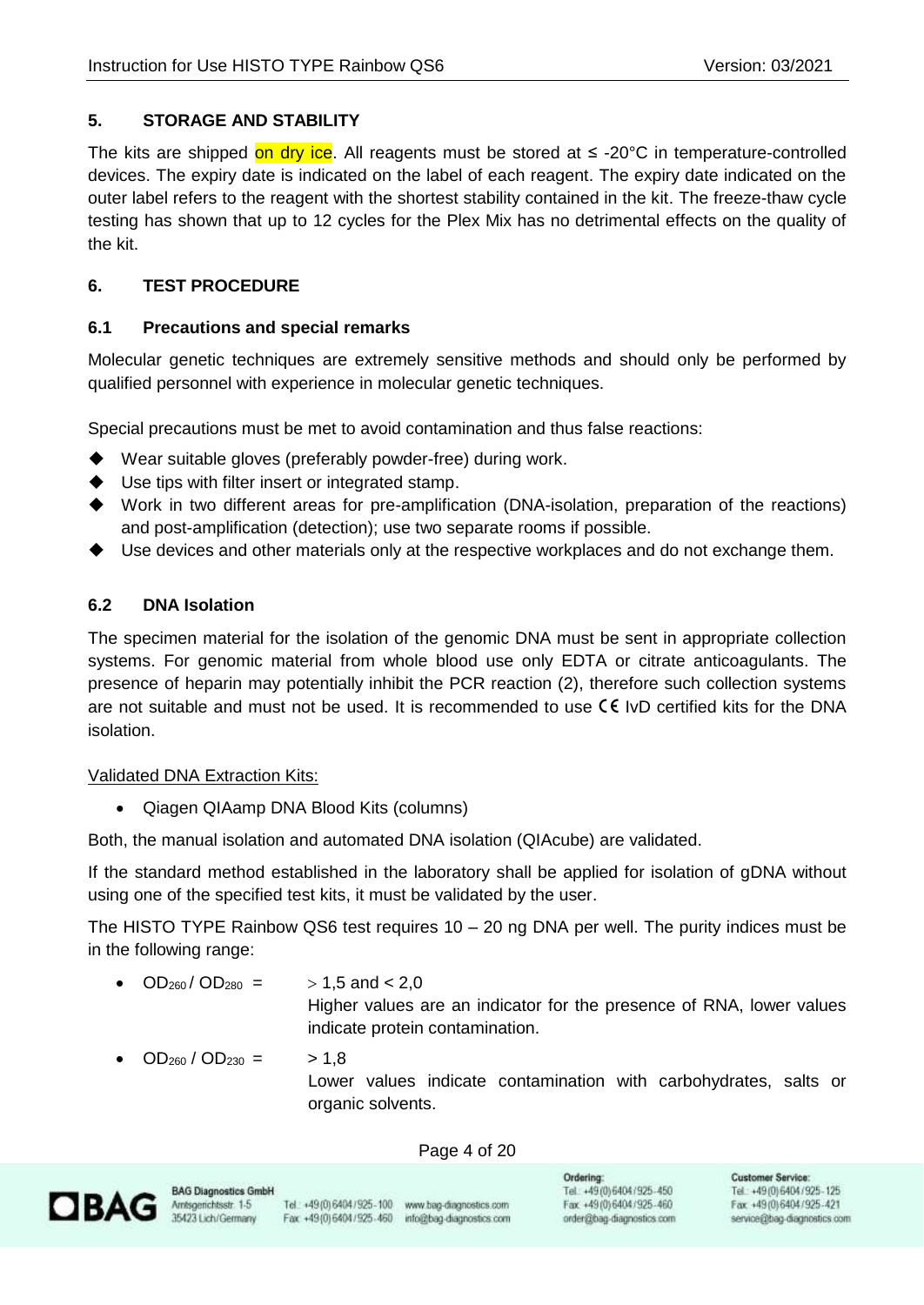# <span id="page-3-0"></span>**5. STORAGE AND STABILITY**

The kits are shipped on dry ice. All reagents must be stored at  $\leq$  -20°C in temperature-controlled devices. The expiry date is indicated on the label of each reagent. The expiry date indicated on the outer label refers to the reagent with the shortest stability contained in the kit. The freeze-thaw cycle testing has shown that up to 12 cycles for the Plex Mix has no detrimental effects on the quality of the kit.

# <span id="page-3-1"></span>**6. TEST PROCEDURE**

# <span id="page-3-2"></span>**6.1 Precautions and special remarks**

Molecular genetic techniques are extremely sensitive methods and should only be performed by qualified personnel with experience in molecular genetic techniques.

Special precautions must be met to avoid contamination and thus false reactions:

- ◆ Wear suitable gloves (preferably powder-free) during work.
- ◆ Use tips with filter insert or integrated stamp.
- ◆ Work in two different areas for pre-amplification (DNA-isolation, preparation of the reactions) and post-amplification (detection); use two separate rooms if possible.
- Use devices and other materials only at the respective workplaces and do not exchange them.

# <span id="page-3-3"></span>**6.2 DNA Isolation**

The specimen material for the isolation of the genomic DNA must be sent in appropriate collection systems. For genomic material from whole blood use only EDTA or citrate anticoagulants. The presence of heparin may potentially inhibit the PCR reaction (2), therefore such collection systems are not suitable and must not be used. It is recommended to use  $\zeta \xi$  IvD certified kits for the DNA isolation.

# Validated DNA Extraction Kits:

• Qiagen QIAamp DNA Blood Kits (columns)

Both, the manual isolation and automated DNA isolation (QIAcube) are validated.

If the standard method established in the laboratory shall be applied for isolation of gDNA without using one of the specified test kits, it must be validated by the user.

The HISTO TYPE Rainbow QS6 test requires 10 – 20 ng DNA per well. The purity indices must be in the following range:

- $OD_{260}/OD_{280}$  =  $> 1.5$  and < 2.0 Higher values are an indicator for the presence of RNA, lower values indicate protein contamination.
- $OD_{260} / OD_{230} =$  > 1,8

Lower values indicate contamination with carbohydrates, salts or organic solvents.

#### Page 4 of 20



**BAG Diagnostics GmbH** 

Tel.: +49(0) 6404/925-100 www.bag-diagnostics.com Fax: +49(0)6404/925-460 info@bag-diagnostics.com

Ordering: Tel: +49(0)6404/925-450 Fax: +49(0)6404/925-460 order@bag-diagnostics.com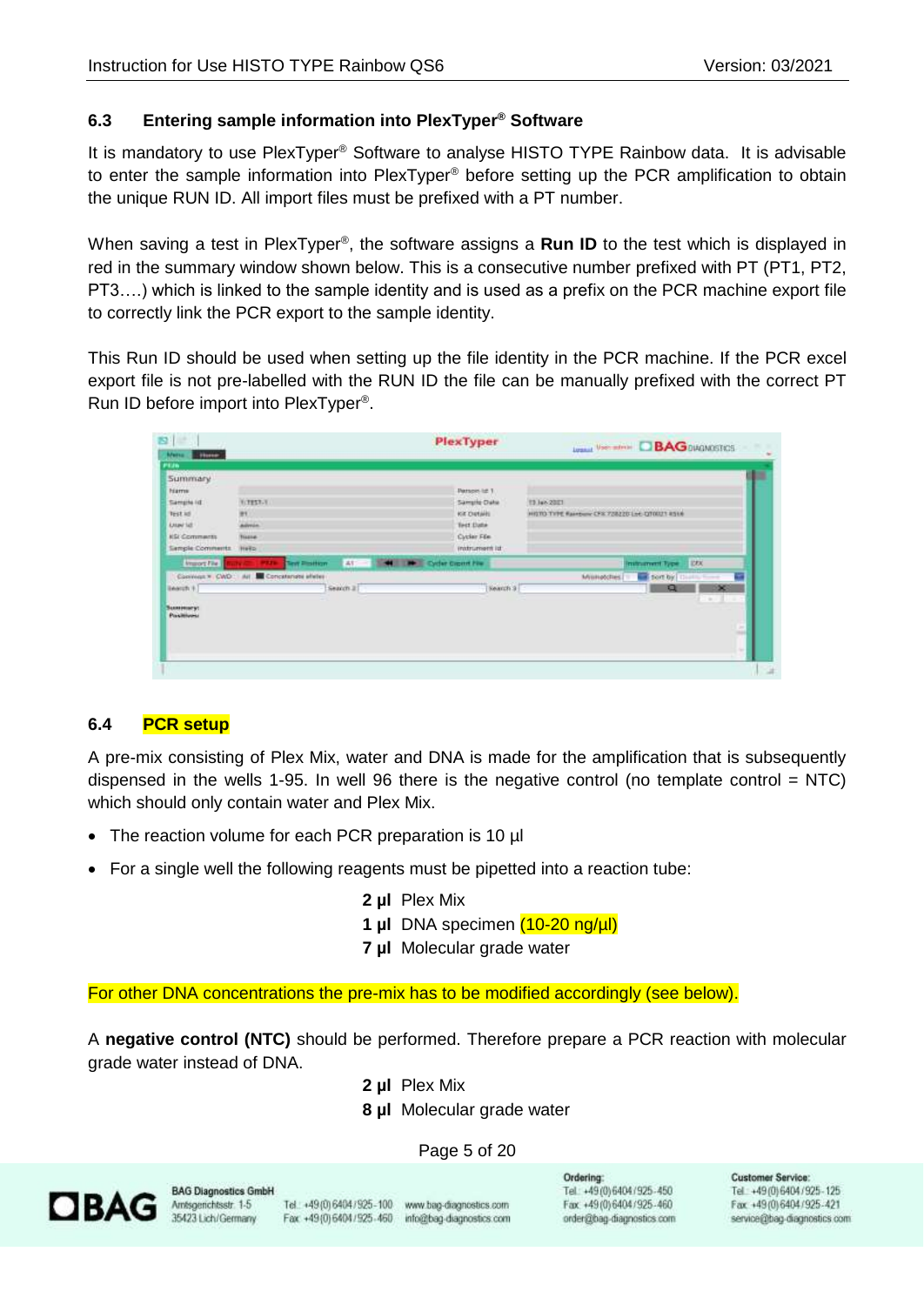# <span id="page-4-0"></span>**6.3 Entering sample information into PlexTyper® Software**

It is mandatory to use PlexTyper® Software to analyse HISTO TYPE Rainbow data. It is advisable to enter the sample information into PlexTyper® before setting up the PCR amplification to obtain the unique RUN ID. All import files must be prefixed with a PT number.

When saving a test in PlexTyper®, the software assigns a Run ID to the test which is displayed in red in the summary window shown below. This is a consecutive number prefixed with PT (PT1, PT2, PT3….) which is linked to the sample identity and is used as a prefix on the PCR machine export file to correctly link the PCR export to the sample identity.

This Run ID should be used when setting up the file identity in the PCR machine. If the PCR excel export file is not pre-labelled with the RUN ID the file can be manually prefixed with the correct PT Run ID before import into PlexTyper® .

|                                            |                              | <b>Legand View entries C BAG DUGNOSTICS</b>   |
|--------------------------------------------|------------------------------|-----------------------------------------------|
|                                            |                              |                                               |
|                                            |                              |                                               |
|                                            |                              |                                               |
|                                            | <b>Patton Id. 1</b>          |                                               |
| <b>HITEST-T</b>                            | Sample Date                  | <b>13 Jun 2021</b>                            |
| m                                          | Kit Details                  | HISTO TYPE Rainbow CFR 728220 Let CT0021 RS14 |
| <b>Advice</b>                              | Test Date                    |                                               |
| <b>Tissue</b>                              | Cycler Fde                   |                                               |
| Help:                                      | instrument ist               |                                               |
| $48 - 1$<br><b>Test Photford</b>           | <b>M B</b> Cycler Cross Fire | <b>IDEX</b><br><b>Instrument Type</b>         |
| Convenir * CWD : Ail S Concelenate effeter |                              | r.<br>Militiatches<br>sort by                 |
| Search 2                                   | Newch 3                      | ×<br>Q                                        |
|                                            |                              |                                               |
|                                            |                              |                                               |
|                                            |                              |                                               |
|                                            |                              | $\sim$<br>m                                   |
|                                            |                              |                                               |
|                                            |                              | ٠                                             |
|                                            |                              |                                               |

# <span id="page-4-1"></span>**6.4 PCR setup**

A pre-mix consisting of Plex Mix, water and DNA is made for the amplification that is subsequently dispensed in the wells 1-95. In well 96 there is the negative control (no template control  $= NTC$ ) which should only contain water and Plex Mix.

- The reaction volume for each PCR preparation is 10 µl
- For a single well the following reagents must be pipetted into a reaction tube:
	- **2 µl** Plex Mix
	- **1 µl** DNA specimen (10-20 ng/µl)
	- **7 µl** Molecular grade water

For other DNA concentrations the pre-mix has to be modified accordingly (see below).

A **negative control (NTC)** should be performed. Therefore prepare a PCR reaction with molecular grade water instead of DNA.

- **2 µl** Plex Mix
- **8 µl** Molecular grade water

# Page 5 of 20



**BAG Diagnostics GmbH** Amsgerichtsstr. 1-5 35423 Lich/Germany

Tel.: +49(0) 6404/925-100 www.bag-diagnostics.com Fax: +49(0)6404/925-460 info@bag-diagnostics.com

Ordering: Tel: +49(0)6404/925-450 Fax: +49 (0) 6404 / 925 - 460 order@bag-diagnostics.com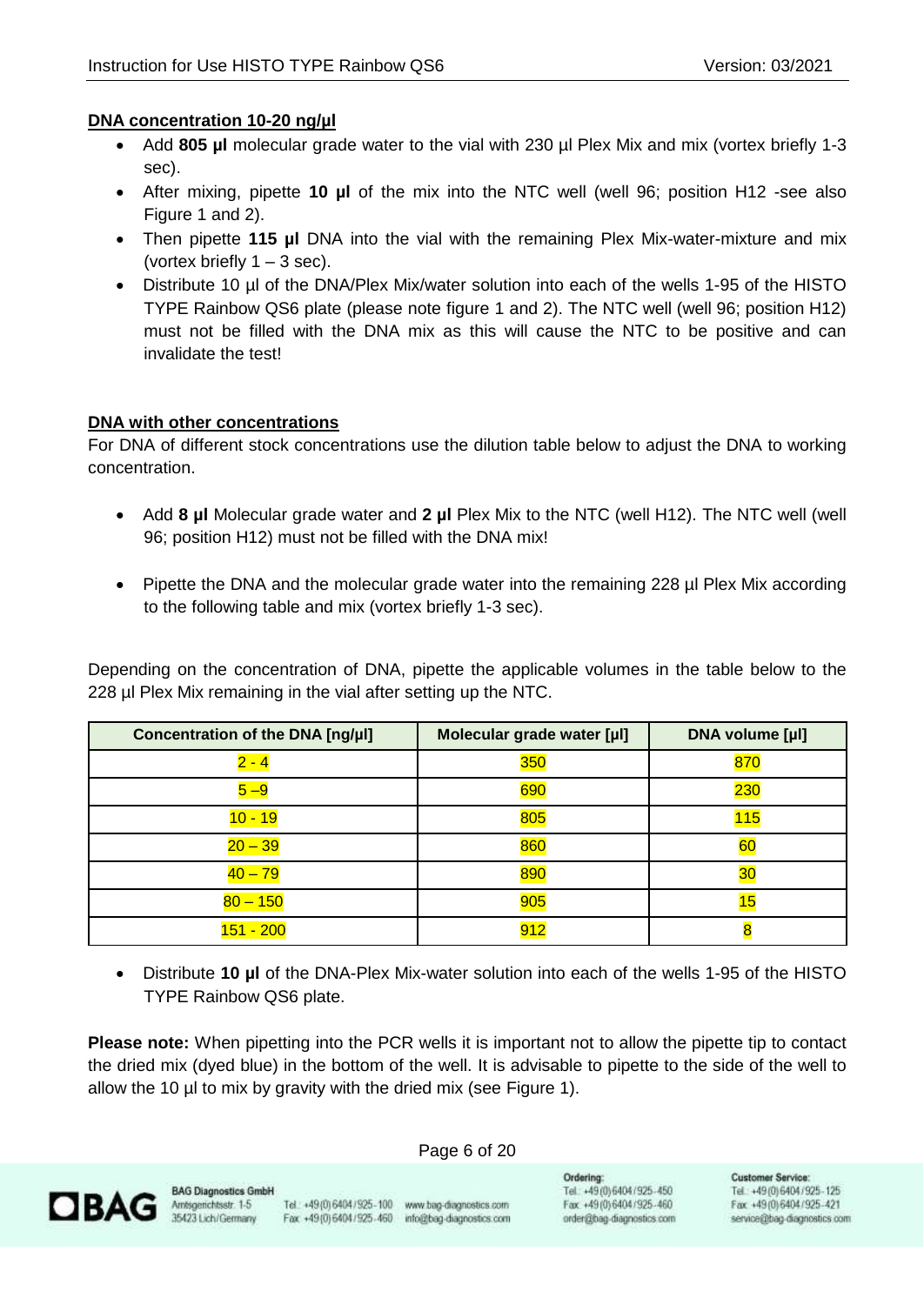# **DNA concentration 10-20 ng/µl**

- Add 805 µl molecular grade water to the vial with 230 µl Plex Mix and mix (vortex briefly 1-3 sec).
- After mixing, pipette **10 µl** of the mix into the NTC well (well 96; position H12 -see also Figure 1 and 2).
- Then pipette **115 µl** DNA into the vial with the remaining Plex Mix-water-mixture and mix (vortex briefly  $1 - 3$  sec).
- Distribute 10 µl of the DNA/Plex Mix/water solution into each of the wells 1-95 of the HISTO TYPE Rainbow QS6 plate (please note figure 1 and 2). The NTC well (well 96; position H12) must not be filled with the DNA mix as this will cause the NTC to be positive and can invalidate the test!

# **DNA with other concentrations**

For DNA of different stock concentrations use the dilution table below to adjust the DNA to working concentration.

- Add **8 µl** Molecular grade water and **2 µl** Plex Mix to the NTC (well H12). The NTC well (well 96; position H12) must not be filled with the DNA mix!
- Pipette the DNA and the molecular grade water into the remaining 228 µl Plex Mix according to the following table and mix (vortex briefly 1-3 sec).

Depending on the concentration of DNA, pipette the applicable volumes in the table below to the 228 µl Plex Mix remaining in the vial after setting up the NTC.

| Concentration of the DNA [ng/µl] | Molecular grade water [µl] | DNA volume [µl] |
|----------------------------------|----------------------------|-----------------|
| 2 - 4                            | 350                        | 870             |
| $5 - 9$                          | 690                        | <b>230</b>      |
| $0 - 19$                         | 805                        | 115             |
| $20 - 39$                        | 860                        | 60              |
| $40 - 79$                        | 890                        | 30              |
| $80 - 150$                       | 905                        | 15              |
| <b>151 - 200</b>                 | 912                        |                 |

• Distribute **10 µl** of the DNA-Plex Mix-water solution into each of the wells 1-95 of the HISTO TYPE Rainbow QS6 plate.

**Please note:** When pipetting into the PCR wells it is important not to allow the pipette tip to contact the dried mix (dyed blue) in the bottom of the well. It is advisable to pipette to the side of the well to allow the 10 µl to mix by gravity with the dried mix (see Figure 1).



**BAG Diagnostics GmbH** 

Tel.: +49(0) 6404/925-100 www.bag-diagnostics.com Fax: +49(0)6404/925-460 info@bag-diagnostics.com

Page 6 of 20

Ordering: Tel: +49(0)6404/925-450 Fax: +49(0)6404/925-460 order@bag-diagnostics.com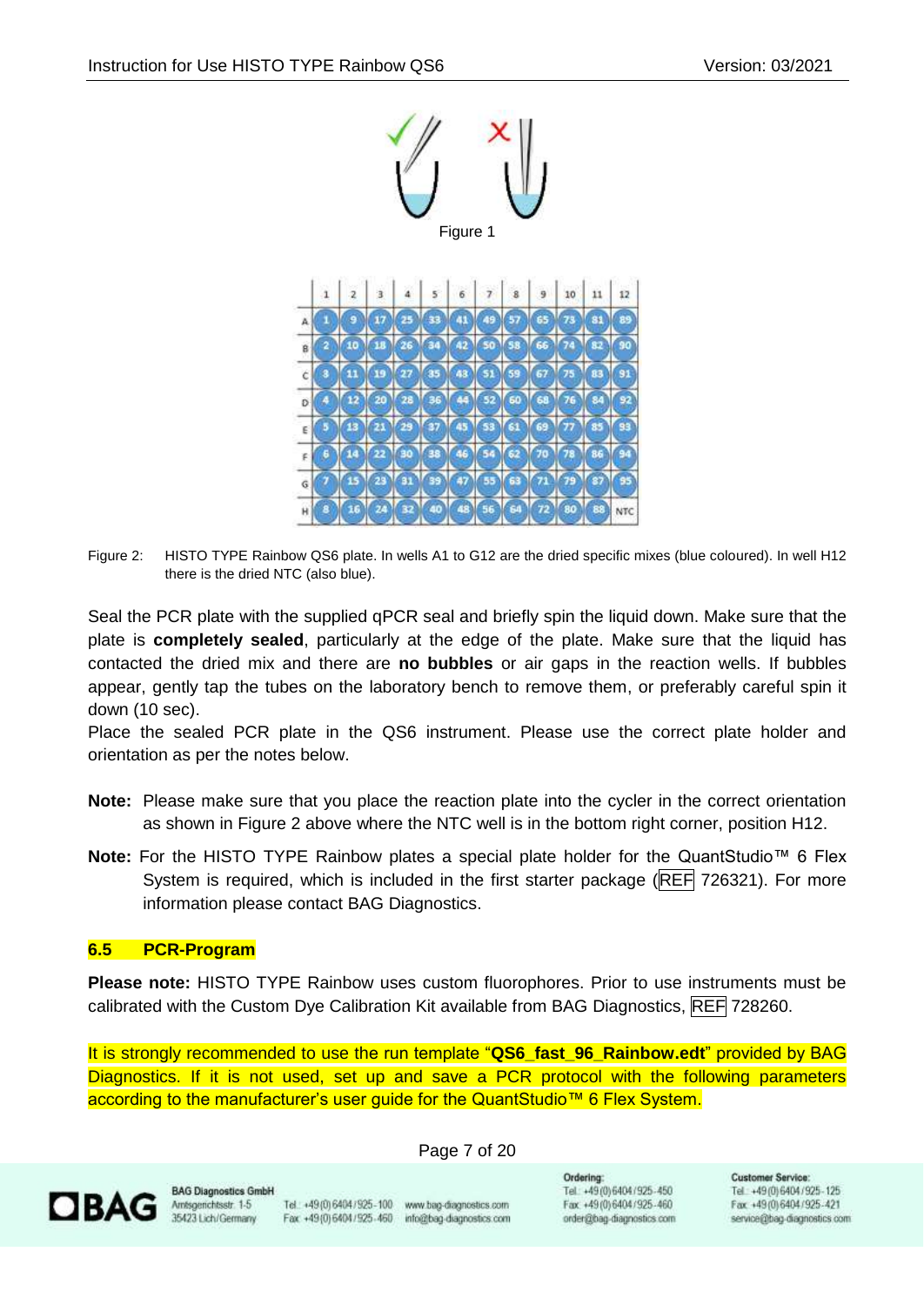

Figure 2: HISTO TYPE Rainbow QS6 plate. In wells A1 to G12 are the dried specific mixes (blue coloured). In well H12 there is the dried NTC (also blue).

Seal the PCR plate with the supplied qPCR seal and briefly spin the liquid down. Make sure that the plate is **completely sealed**, particularly at the edge of the plate. Make sure that the liquid has contacted the dried mix and there are **no bubbles** or air gaps in the reaction wells. If bubbles appear, gently tap the tubes on the laboratory bench to remove them, or preferably careful spin it down (10 sec).

Place the sealed PCR plate in the QS6 instrument. Please use the correct plate holder and orientation as per the notes below.

- **Note:** Please make sure that you place the reaction plate into the cycler in the correct orientation as shown in Figure 2 above where the NTC well is in the bottom right corner, position H12.
- **Note:** For the HISTO TYPE Rainbow plates a special plate holder for the QuantStudio™ 6 Flex System is required, which is included in the first starter package (REF 726321). For more information please contact BAG Diagnostics.

#### <span id="page-6-0"></span>**6.5 PCR-Program**

**Please note:** HISTO TYPE Rainbow uses custom fluorophores. Prior to use instruments must be calibrated with the Custom Dye Calibration Kit available from BAG Diagnostics, REF 728260.

It is strongly recommended to use the run template "**QS6\_fast\_96\_Rainbow.edt**" provided by BAG Diagnostics. If it is not used, set up and save a PCR protocol with the following parameters according to the manufacturer's user guide for the QuantStudio™ 6 Flex System.

Page 7 of 20



**BAG Diagnostics Gmbi** Amsgerichtsstr. 1-5 35423 Lich/Germany

Tel.: +49(0) 6404 / 925-100 www.bag-diagnostics.com Fax: +49(0)6404/925-460 info@bag-diagnostics.com

Ordering: Tel: +49(0)6404/925-450 Fax: +49 (0) 6404 / 925-460 order@bag-diagnostics.com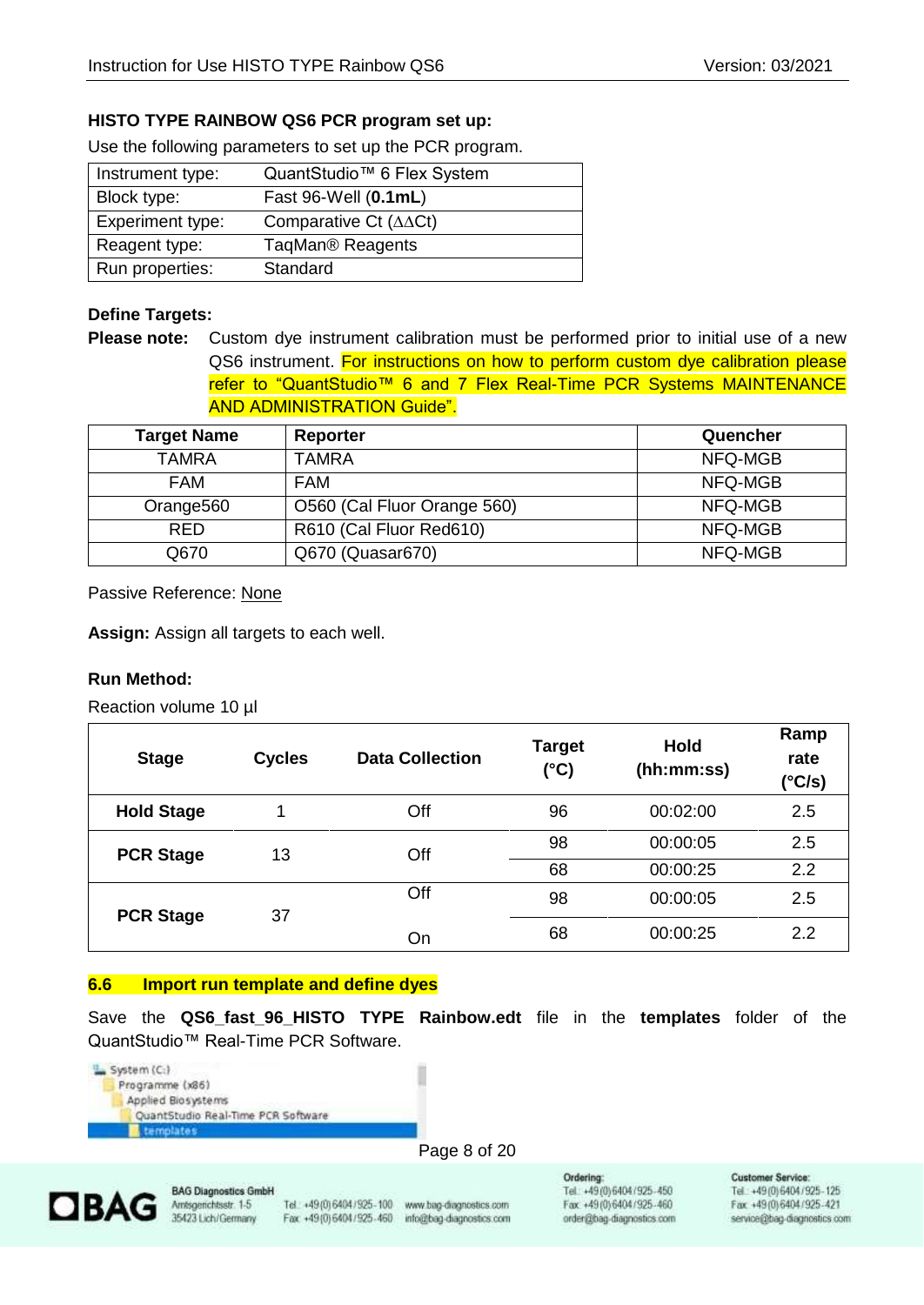# **HISTO TYPE RAINBOW QS6 PCR program set up:**

Use the following parameters to set up the PCR program.

| Instrument type: | QuantStudio <sup>™</sup> 6 Flex System    |
|------------------|-------------------------------------------|
| Block type:      | Fast 96-Well (0.1mL)                      |
| Experiment type: | Comparative Ct $(\triangle \triangle Ct)$ |
| Reagent type:    | TaqMan <sup>®</sup> Reagents              |
| Run properties:  | Standard                                  |

#### **Define Targets:**

**Please note:** Custom dye instrument calibration must be performed prior to initial use of a new QS6 instrument. For instructions on how to perform custom dye calibration please refer to "QuantStudio™ 6 and 7 Flex Real-Time PCR Systems MAINTENANCE AND ADMINISTRATION Guide".

| <b>Target Name</b>    | Reporter                    | Quencher |
|-----------------------|-----------------------------|----------|
| <b>TAMRA</b>          | <b>TAMRA</b>                | NFQ-MGB  |
| <b>FAM</b>            | <b>FAM</b>                  | NFQ-MGB  |
| Orange <sub>560</sub> | O560 (Cal Fluor Orange 560) | NFQ-MGB  |
| <b>RED</b>            | R610 (Cal Fluor Red610)     | NFQ-MGB  |
| Q670                  | Q670 (Quasar670)            | NFQ-MGB  |

Passive Reference: None

**Assign:** Assign all targets to each well.

#### **Run Method:**

Reaction volume 10 µl

| <b>Stage</b>      | <b>Cycles</b> | <b>Data Collection</b> | <b>Target</b><br>(°C) | <b>Hold</b><br>(hh:mm:ss) | Ramp<br>rate<br>(°C/s) |
|-------------------|---------------|------------------------|-----------------------|---------------------------|------------------------|
| <b>Hold Stage</b> |               | Off                    | 96                    | 00:02:00                  | 2.5                    |
| <b>PCR Stage</b>  | 13            | Off                    | 98                    | 00:00:05                  | 2.5                    |
|                   |               |                        | 68                    | 00:00:25                  | 2.2                    |
| <b>PCR Stage</b>  | 37            | Off                    | 98                    | 00:00:05                  | 2.5                    |
|                   |               | On                     | 68                    | 00:00:25                  | 2.2                    |

#### <span id="page-7-0"></span>**6.6 Import run template and define dyes**

Save the **QS6\_fast\_96\_HISTO TYPE Rainbow.edt** file in the **templates** folder of the QuantStudio™ Real-Time PCR Software.



#### Page 8 of 20



**BAG Diagnostics GmbH** Amsgenchtsstr. 1-5 35423 Lich/Germany

Tel.: +49 (0) 6404 / 925 - 100 www.bag-diagnostics.com Fax: +49(0) 6404/925-460 info@bag-diagnostics.com

Ordering: Tel.: +49(0)6404/925-450 Fax: +49(0)6404/925-460 order@bag-diagnostics.com **Customer Service:**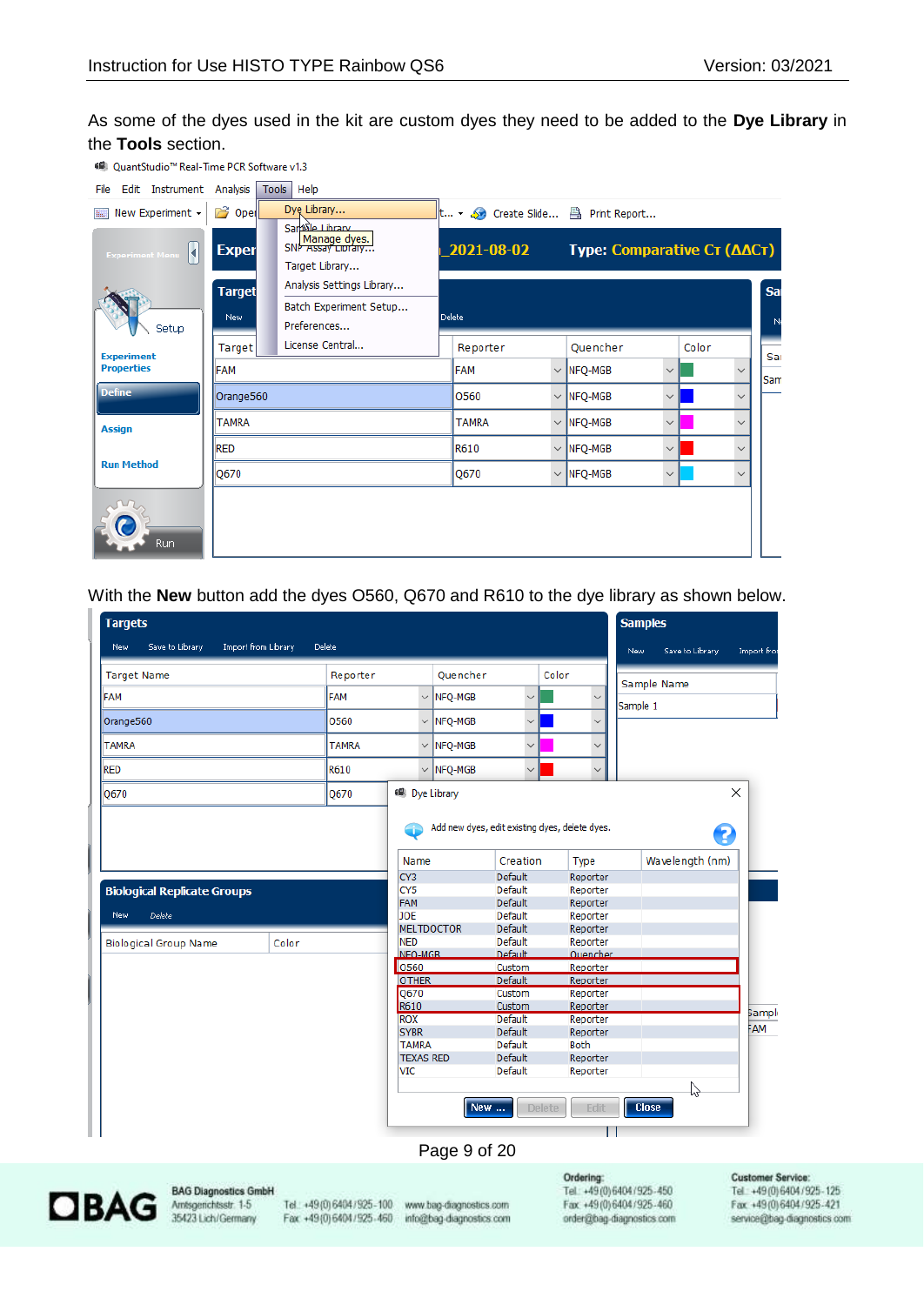As some of the dyes used in the kit are custom dyes they need to be added to the **Dye Library** in the **Tools** section.

| 6 QuantStudio <sup>™</sup> Real-Time PCR Software v1.3 |                      |                                                                    |                                                                                  |                                |       |              |                      |
|--------------------------------------------------------|----------------------|--------------------------------------------------------------------|----------------------------------------------------------------------------------|--------------------------------|-------|--------------|----------------------|
| Edit Instrument Analysis<br>File                       |                      | Tools   Help                                                       |                                                                                  |                                |       |              |                      |
| New Experiment -<br>B.                                 | <b>B</b> Open        | Dyę Library<br>San <sup>6</sup> ile Library                        | $\  \mathsf{t} \dots \cdot \triangle \ $ Create Slide $\triangle \$ Print Report |                                |       |              |                      |
| ы<br><b>Experiment Menu</b>                            | <b>Exper</b>         | Manage dyes.<br>Target Library                                     | $2021 - 08 - 02$                                                                 | Type: Comparative CT (AACT)    |       |              |                      |
| Setup                                                  | <b>Target</b><br>New | Analysis Settings Library<br>Batch Experiment Setup<br>Preferences | <b>Delete</b>                                                                    |                                |       |              | Sa<br>N <sub>6</sub> |
| <b>Experiment</b>                                      | Target               | License Central                                                    | Reporter                                                                         | Quencher                       | Color |              | Sai                  |
| <b>Properties</b>                                      | <b>FAM</b>           |                                                                    | FAM                                                                              | $\vee$ NFQ-MGB<br>$\checkmark$ |       | $\checkmark$ | Sam                  |
| <b>Define</b>                                          | Orange560            |                                                                    | 0560                                                                             | $\vee$ NFQ-MGB<br>$\checkmark$ |       | $\checkmark$ |                      |
| <b>Assign</b>                                          | <b>TAMRA</b>         |                                                                    | <b>TAMRA</b>                                                                     | $\vee$ NFQ-MGB<br>$\checkmark$ |       | $\checkmark$ |                      |
|                                                        | <b>RED</b>           |                                                                    | <b>R610</b>                                                                      | $\vee$ NFQ-MGB<br>$\checkmark$ |       | $\checkmark$ |                      |
| <b>Run Method</b>                                      | Q670                 |                                                                    | Q670                                                                             | $\vee$ NFQ-MGB<br>$\checkmark$ |       | $\checkmark$ |                      |
| Run                                                    |                      |                                                                    |                                                                                  |                                |       |              |                      |

With the **New** button add the dyes O560, Q670 and R610 to the dye library as shown below.

| <b>Targets</b>                     |                     |               |                        |                   |                          |               |                                                | <b>Samples</b> |                 |               |
|------------------------------------|---------------------|---------------|------------------------|-------------------|--------------------------|---------------|------------------------------------------------|----------------|-----------------|---------------|
| Save to Library<br>New             | Import from Library | <b>Delete</b> |                        |                   |                          |               |                                                | New            | Save to Library | Import from   |
| <b>Target Name</b>                 |                     | Reporter      |                        | Quencher          |                          |               | Color                                          |                | Sample Name     |               |
| FAM                                |                     | <b>FAM</b>    |                        | $\vee$ NFQ-MGB    | $\checkmark$             |               | $\checkmark$                                   | Sample 1       |                 |               |
| Orange560                          |                     | 0560          |                        | $\vee$ NFQ-MGB    | $\checkmark$             |               | $\checkmark$                                   |                |                 |               |
| <b>TAMRA</b>                       |                     | <b>TAMRA</b>  |                        | $\vee$ NFQ-MGB    | $\checkmark$             |               | $\checkmark$                                   |                |                 |               |
| <b>RED</b>                         |                     | R610          |                        | $\vee$ NFQ-MGB    | $\checkmark$             |               | $\checkmark$                                   |                |                 |               |
| Q670                               |                     | Q670          |                        | 48 Dye Library    |                          |               |                                                |                |                 | ×             |
|                                    |                     |               | Œ                      |                   |                          |               | Add new dyes, edit existing dyes, delete dyes. |                | 2               |               |
|                                    |                     |               | Name                   |                   | Creation                 |               | <b>Type</b>                                    |                | Wavelength (nm) |               |
|                                    |                     |               | CY3<br>CY <sub>5</sub> |                   | Default<br>Default       |               | Reporter<br>Reporter                           |                |                 |               |
| <b>Biological Replicate Groups</b> |                     |               | FAM                    |                   | Default                  |               | Reporter                                       |                |                 |               |
| New<br><b>Delete</b>               |                     |               | JOE                    |                   | Default                  |               | Reporter                                       |                |                 |               |
|                                    |                     |               |                        | <b>MELTDOCTOR</b> | Default                  |               | Reporter                                       |                |                 |               |
| <b>Biological Group Name</b>       | Color               |               | <b>NED</b>             |                   | Default                  |               | Reporter                                       |                |                 |               |
|                                    |                     |               | NFO-MGB                |                   | Default                  |               | <b>Ouencher</b>                                |                |                 |               |
|                                    |                     |               | 0560                   |                   | Custom                   |               | Reporter                                       |                |                 |               |
|                                    |                     |               | <b>OTHER</b>           |                   | <b>Default</b><br>Custom |               | Reporter                                       |                |                 |               |
|                                    |                     |               | Q670<br>R610           |                   | Custom                   |               | Reporter<br>Reporter                           |                |                 |               |
|                                    |                     |               | <b>ROX</b>             |                   | <b>Default</b>           |               | Reporter                                       |                |                 | <b>Sample</b> |
|                                    |                     |               | <b>SYBR</b>            |                   | Default                  |               | Reporter                                       |                |                 | FAM           |
|                                    |                     |               | <b>TAMRA</b>           |                   | Default                  |               | <b>Both</b>                                    |                |                 |               |
|                                    |                     |               | <b>TEXAS RED</b>       |                   | Default                  |               | Reporter                                       |                |                 |               |
|                                    |                     |               | <b>VIC</b>             |                   | Default                  |               | Reporter                                       |                |                 |               |
|                                    |                     |               |                        |                   |                          |               |                                                |                |                 |               |
|                                    |                     |               |                        | New               |                          | <b>Delete</b> | Edit                                           | <b>Close</b>   |                 |               |
|                                    |                     |               |                        |                   |                          |               |                                                |                |                 |               |

#### Page 9 of 20



**BAG Diagnostics GmbH** Amsgerichtsstr. 1-5<br>35423 Lich/Germany

Tel.: +49(0) 6404 / 925 - 100 www.bag-diagnostics.com Fax: +49(0)6404/925-460 info@bag-diagnostics.com

Ordering: Tel: +49(0)6404/925-450 Fax: +49 (0) 6404 / 925 - 460 order@bag-diagnostics.com **Customer Service:**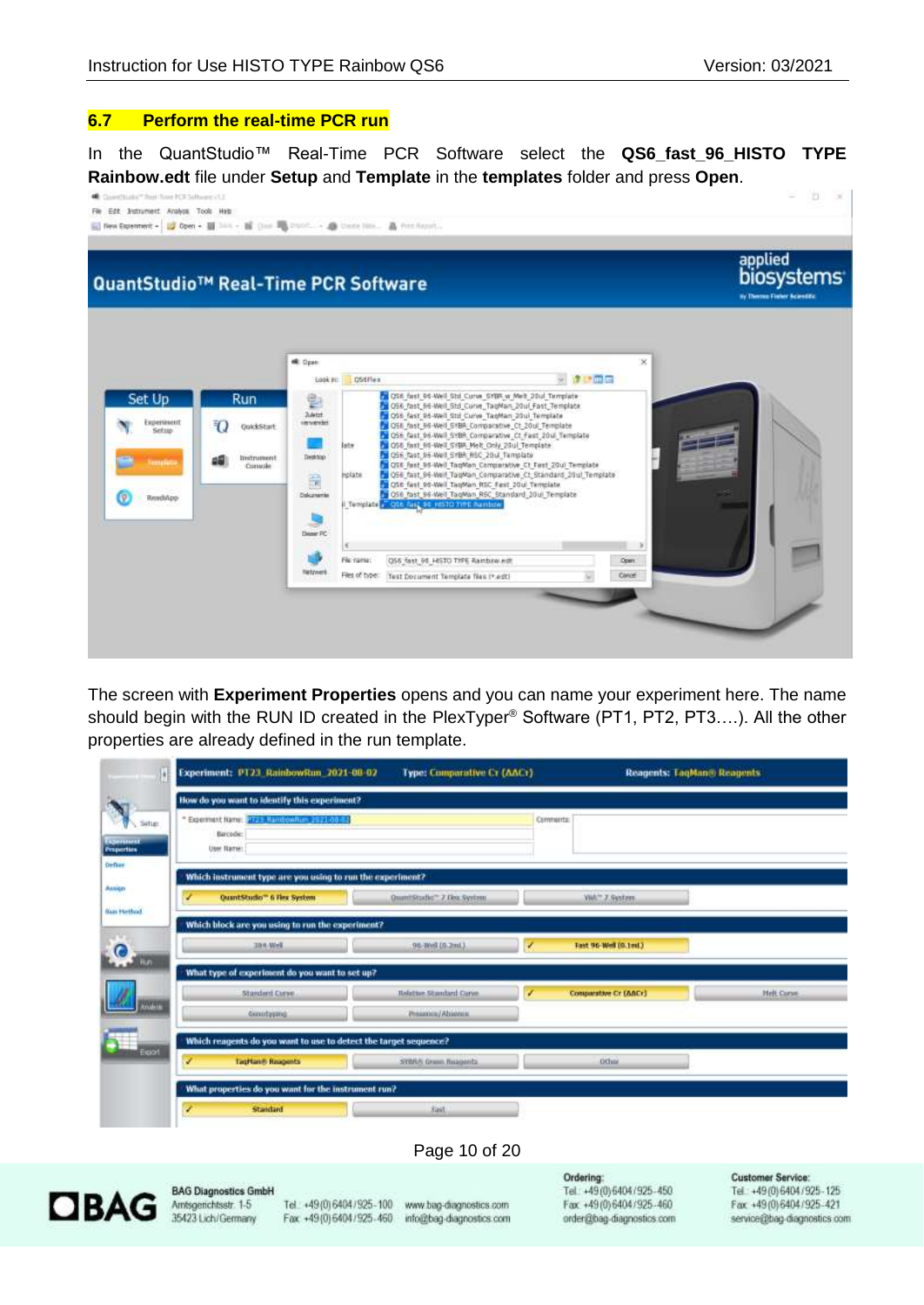#### <span id="page-9-0"></span>**6.7 Perform the real-time PCR run**

In the QuantStudio™ Real-Time PCR Software select the **QS6\_fast\_96\_HISTO TYPE Rainbow.edt** file under **Setup** and **Template** in the **templates** folder and press **Open**.



The screen with **Experiment Properties** opens and you can name your experiment here. The name should begin with the RUN ID created in the PlexTyper<sup>®</sup> Software (PT1, PT2, PT3....). All the other properties are already defined in the run template.



order@bag-diagnostics.com

service@bag-diagnostics.com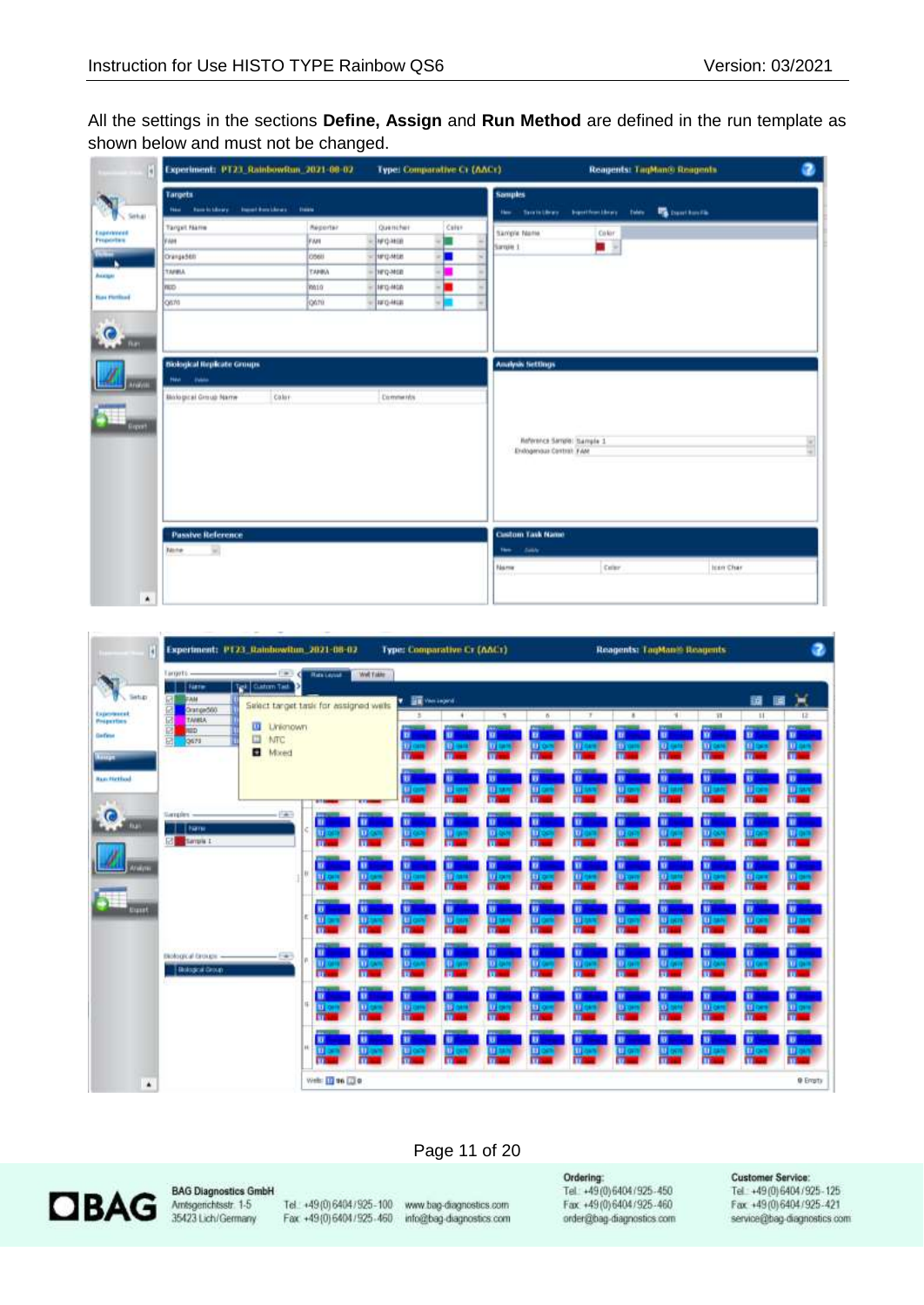All the settings in the sections **Define, Assign** and **Run Method** are defined in the run template as shown below and must not be changed.

| Ø                                                        | Experiment: PT23 RainbowRun 2021-00-02                                                        |                                                          |                                                                                           | <b>Type: Comparative Ct (AACr)</b> |                                                                                   |                         | Reagents: TagManto Reagents |  |
|----------------------------------------------------------|-----------------------------------------------------------------------------------------------|----------------------------------------------------------|-------------------------------------------------------------------------------------------|------------------------------------|-----------------------------------------------------------------------------------|-------------------------|-----------------------------|--|
|                                                          | <b>Targets</b><br><b>Ingelbruikres</b><br><b>Rent Eldrey</b><br><b>Them</b>                   | <b>Tiese</b>                                             |                                                                                           |                                    | Samples<br>the first there.                                                       | builturaliers           | <b>B</b> Institute<br>twee. |  |
| Setup<br>Enprimment<br>Proporting<br><b>Red Firthcol</b> | <b>Target Name</b><br><b>FAH</b><br>Orange568<br><b>TARBLA</b><br><b>VILLO</b><br>oste        | Réporter<br>PAH<br>losel<br><b>TANKA</b><br>main<br>0678 | Quencher<br>Ivrovin<br><b>MPID-MOB</b><br>HFQ-MSB<br><b>Jarg-McA</b><br><b>Jarq-Mills</b> | Calur<br>۰<br><b>START</b><br>E    | Sample Name<br>Sangle 1                                                           | Color<br>$\blacksquare$ |                             |  |
| 10000<br>$\blacksquare$<br><b>Brooth</b>                 | <b>Biological Replicate Groups</b><br>Hen.<br><b>Colorado</b><br><b>Bislogical Group Name</b> | Color-                                                   | <b>Eicenments</b>                                                                         |                                    | <b>Analysis Settings</b><br>Reference Sample: Sample 1<br>Enlogenous Control: FAM |                         |                             |  |
|                                                          | <b>Passive Reference</b>                                                                      |                                                          |                                                                                           |                                    | <b>Custom Task Name</b>                                                           |                         |                             |  |

| R                                                          | Experiment: P123 Rainbowiton 2021-08-02                                                                                                    |                                                                                 | <b>Type: Comparative Cr (AAC)</b>       |                              |                                      | <b>Reagents: LagMan® Reagents</b>                              |                                                                           |
|------------------------------------------------------------|--------------------------------------------------------------------------------------------------------------------------------------------|---------------------------------------------------------------------------------|-----------------------------------------|------------------------------|--------------------------------------|----------------------------------------------------------------|---------------------------------------------------------------------------|
| Setup                                                      | Eargets -<br>Tel: Caton Tab<br>Flatter                                                                                                     | Well Fakler<br><b>Rate Leyrol</b>                                               |                                         |                              |                                      |                                                                |                                                                           |
| Laporaucat<br><b>Properties</b><br>Gefeve<br><b>Autras</b> | <b>FAM</b><br>图图图图图<br>Orange560<br><b>TANKA</b><br><b>III</b> Linkingwin<br><b>HED</b><br><b>III</b> NTC<br><b>OS78</b><br><b>D</b> Mored | Salect target task for assigned wells                                           | <b>v R</b> wings                        | $\sim$<br>в<br>er.<br>H.     | -9<br>$\mathbf{z}$<br>m              | 33<br>-1<br>ü<br>ю<br>a<br>ш                                   | Χ<br>讀<br>匱<br>11<br>12<br>u<br>m<br><b>ULBER</b><br>Đ.                   |
| <b>Ban Hethod</b><br>$\bullet$                             | $-143$<br>Samples.                                                                                                                         |                                                                                 | u<br>(ii) car<br><b>U</b> use           | u<br>Ð<br><b>Thurs</b><br>u. | п<br>w<br><b>TEMP</b><br><b>U</b> on | W.<br>w<br><b>ED</b> start<br><b>TT</b> set                    | u<br>D<br><b>DES</b><br><b>III</b> care                                   |
| <b>Bu</b><br>g<br>Weiter                                   | <b>I Farmer</b><br>Ed Sample 1                                                                                                             | ■<br><b>TECK</b><br>u r<br>u<br>ш                                               | u<br>ш<br><b>D</b> <sub>C</sub>         | w<br>п<br>u.<br>m            | m<br>11,017                          | π<br>п<br>ūΓ.<br>m.<br>n                                       | u<br>u<br><b>MON</b><br>п<br>Ð                                            |
| <b>Equal</b>                                               |                                                                                                                                            | a er<br><b>TT</b> can<br>п<br>ø<br>l e<br><b>TI</b> or all<br><b>Thian</b><br>π | illion<br>u<br><b>In</b> out<br>$100 -$ | u<br>в<br><b>U</b><br>ш      | <b>TE TORE</b><br>m<br>UI on         | a.<br>m<br><b>D</b><br>U.<br><b>All-ound</b><br><b>THE SET</b> | <b>D</b> owl<br><b>Billiam</b><br>ы<br>u<br><b>David</b><br><b>ID</b> can |
|                                                            | mological brouge -<br>$+500$<br><b>Biological Croup</b>                                                                                    | п<br>п<br>ШØ<br><b>DESK</b>                                                     | π<br>ш<br>lö.<br>ω                      | n<br>п<br>m<br>m             | ≖<br>11,047                          | п<br>п<br><b>Q</b> DV<br>m.                                    | u<br>u<br>Vers<br>ūσ                                                      |
|                                                            |                                                                                                                                            | в<br>u<br>日の<br>m<br>π<br>u                                                     | w<br>u<br>m<br>ш<br>u                   | n<br>в<br>ш<br>t)<br>w<br>ы  | m                                    | n<br>n<br>o<br>m<br>u<br>19.                                   | u<br>u<br><b>Ulmak</b><br>또<br>m.<br>ü<br>D                               |
| ٠                                                          |                                                                                                                                            | m -<br><b>ITCharm</b><br>n<br>œ<br>Well: 11 96 13 0                             | öΤ<br>m                                 | m<br>п                       | m                                    | H.<br>u                                                        | <b>UD</b><br><b>III</b> over<br>m<br>п<br><b>Q</b> Engty                  |

#### Page 11 of 20



**BAG Diagnostics GmbH** 

Tel.: +49 (0) 6404 / 925 - 100 www.bag-diagnostics.com Fax: +49(0)6404/925-460 info@bag-diagnostics.com

Ordering:

Tel.: +49(0)6404/925-450 Fax: +49 (0) 6404 / 925 - 460 order@bag-diagnostics.com

#### **Customer Service:**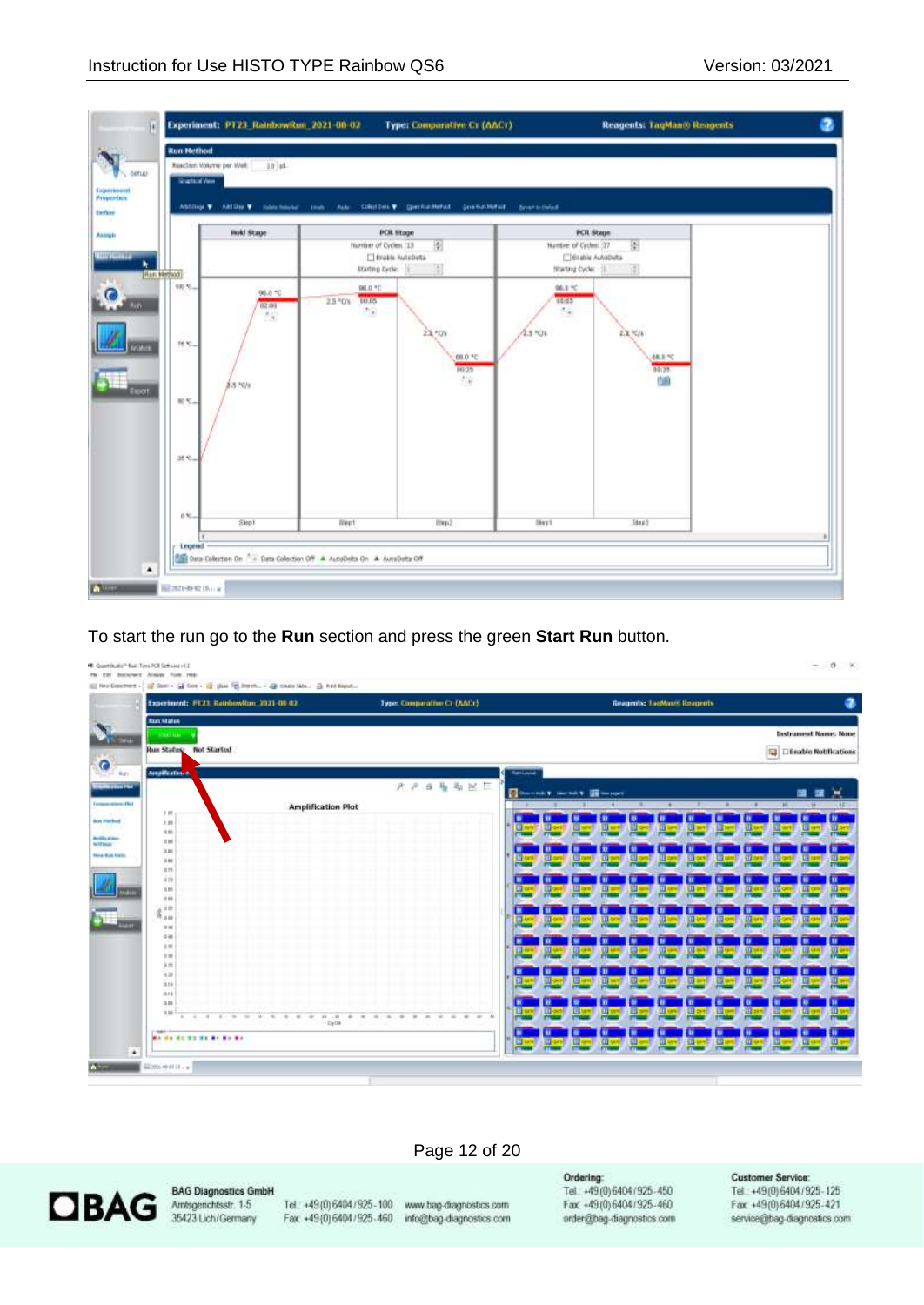

To start the run go to the **Run** section and press the green **Start Run** button.



#### Page 12 of 20



**BAG Diagnostics GmbH** 

Tel.: +49 (0) 6404 / 925 - 100 www.bag-diagnostics.com Fax: +49(0)6404/925-460 info@bag-diagnostics.com

Ordering: Tel: +49(0)6404/925-450 Fax: +49(0)6404/925-460 order@bag-diagnostics.com

#### **Customer Service:**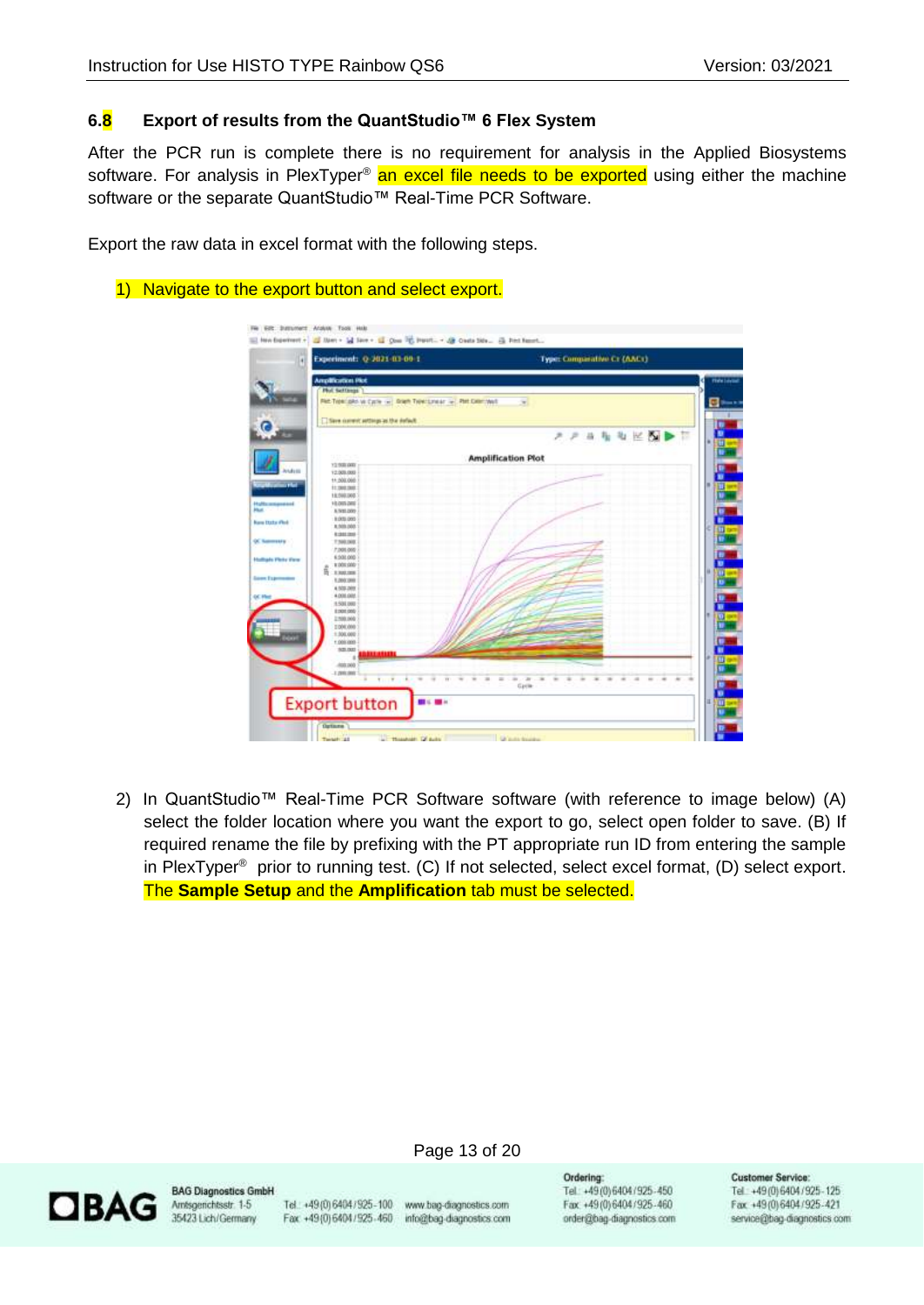# <span id="page-12-0"></span>**6.8 Export of results from the QuantStudio™ 6 Flex System**

After the PCR run is complete there is no requirement for analysis in the Applied Biosystems software. For analysis in PlexTyper® an excel file needs to be exported using either the machine software or the separate QuantStudio™ Real-Time PCR Software.

Export the raw data in excel format with the following steps.

## 1) Navigate to the export button and select export.

| Experiment: Q-2021-03-09-1<br>ы                            | Type: Comparative Cr (AACr)                |
|------------------------------------------------------------|--------------------------------------------|
| <b>Amplification Plot</b>                                  |                                            |
| <b>Phot Settlings</b>                                      |                                            |
| PARTISHIGHT WITCHES (A) DOER THREE PARTIES (A) PHECHECOVER |                                            |
|                                                            |                                            |
| El Save current settergs as the default                    |                                            |
|                                                            |                                            |
|                                                            | 私<br>$\tau_{\rm H}$<br>$\mathbb{R}$<br>スーヌ |
|                                                            |                                            |
| <b>WELFY</b>                                               | <b>Amplification Plot</b>                  |
| 13.900.000                                                 |                                            |
| 12.009.000                                                 |                                            |
| 11, 309, 008                                               |                                            |
| 11,560,000                                                 |                                            |
| 19,598,000                                                 |                                            |
| 10,005,000                                                 |                                            |
| A 5/81.000                                                 |                                            |
| 8.009.000                                                  |                                            |
| 8,509,000                                                  |                                            |
| 120120                                                     |                                            |
| 7,500,000<br>7,001,000                                     |                                            |
| 6,508,000                                                  |                                            |
| 1.000.000                                                  |                                            |
| ŝ<br>3.300.000                                             |                                            |
| 1,200,000                                                  |                                            |
| 4.509.009                                                  |                                            |
| 4.008.008                                                  |                                            |
| 1.501,000                                                  |                                            |
| 0001003                                                    |                                            |
| 2,500,000                                                  |                                            |
| 11000.000                                                  |                                            |
| 1,306,000                                                  |                                            |
| 1.000309                                                   |                                            |
| <b>SOLOUT</b><br>.                                         |                                            |
|                                                            |                                            |
| 400300                                                     |                                            |
| 3.20012002<br>1. 1                                         | m<br>÷<br>٠                                |
|                                                            | Gym                                        |
|                                                            |                                            |
| <b>Export button</b>                                       |                                            |
|                                                            |                                            |

2) In QuantStudio™ Real-Time PCR Software software (with reference to image below) (A) select the folder location where you want the export to go, select open folder to save. (B) If required rename the file by prefixing with the PT appropriate run ID from entering the sample in PlexTyper ® prior to running test. (C) If not selected, select excel format, (D) select export. The **Sample Setup** and the **Amplification** tab must be selected.



**BAG Diagnostics GmbH** Amsgenchtsstr. 1-5 35423 Lich/Germany

Tel.: +49 (0) 6404 / 925 - 100 www.bag-diagnostics.com Fax: +49(0)6404/925-460 info@bag-diagnostics.com

Page 13 of 20

Ordering: Tel: +49(0)6404/925-450 Fax: +49(0)6404/925-460 order@bag-diagnostics.com **Customer Service:**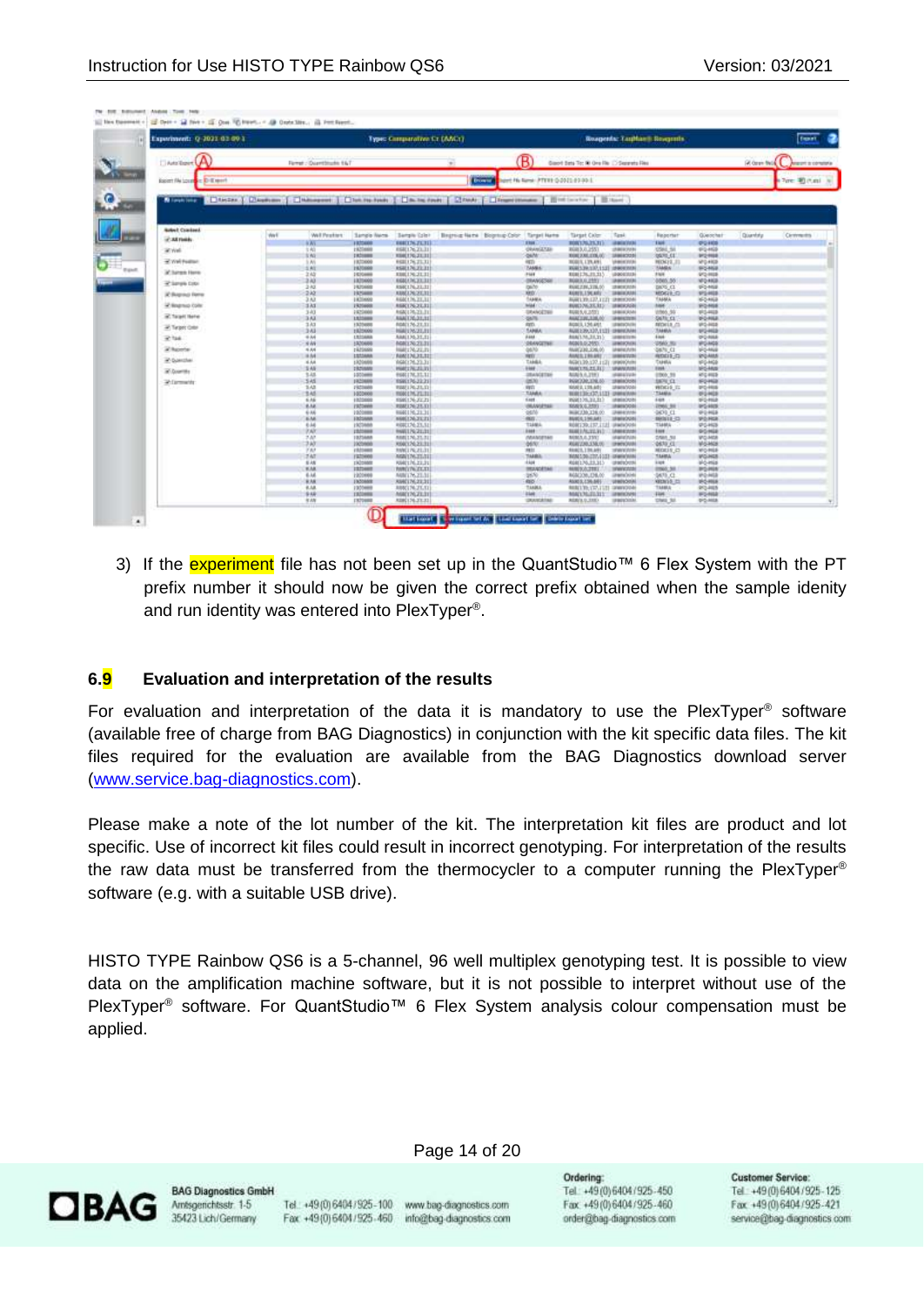The State Educational Education Chinese Education

| Experiment: Q-3021 01:00 1                                                                                                                                                                                                     |      |                           |                                   | Type: Comparative Cr (ANCr)               |                                                    |                   |                                                        |                   | Rosperds: TauManii Sovernin.      |                                   |                 |
|--------------------------------------------------------------------------------------------------------------------------------------------------------------------------------------------------------------------------------|------|---------------------------|-----------------------------------|-------------------------------------------|----------------------------------------------------|-------------------|--------------------------------------------------------|-------------------|-----------------------------------|-----------------------------------|-----------------|
| DANSING (A)                                                                                                                                                                                                                    |      | Farmer - Quantificate 167 |                                   |                                           | (R)                                                |                   | Geort Sets To: N Ore Re (2) Seconds Res                |                   |                                   |                                   | A dean field    |
| Easert file Louis C D III rent                                                                                                                                                                                                 |      |                           |                                   |                                           | <b>Division</b><br>hert Hu New PTEE 0-2021-03-93-1 |                   |                                                        |                   |                                   |                                   |                 |
| ADMINITED TO AND TO CARD TO THE RESERVE TO A RESIDENCE TO A RESIDENCE TO A RESIDENCE TO A RESIDENCE TO A RESIDENCE TO A RESIDENCE TO A RESIDENCE TO A RESIDENCE TO A RESIDENCE TO A RESIDENCE TO A RESIDENCE TO A RESIDENCE TO |      |                           |                                   |                                           |                                                    |                   |                                                        |                   |                                   |                                   |                 |
| <b>Balled Coacherd</b>                                                                                                                                                                                                         | Well | Well Pearklers            | Sangle Nemi-                      |                                           | Begross Name Begross Color Target Name             |                   | <b>Target Colm</b>                                     | Task              | Reporter                          | Guescher                          | <b>Quantity</b> |
| at All Fields                                                                                                                                                                                                                  |      | <b>NAV</b>                | <b>I KTOWN</b>                    | <b>Bengile Color</b><br><b>BBECK-ZC31</b> | <b>FRIAT</b>                                       |                   | 808176,75,711                                          | <b>JAMIN'AVA</b>  | THE.                              | 49-1403                           |                 |
| Write:                                                                                                                                                                                                                         |      | 1.40                      | <b>LIQUAN</b>                     | 658(176,23.3)                             |                                                    | <b>GRANGETAK</b>  | <b>BGH3.0.2551</b>                                     | (NECKY/N)         | 0561.50                           | 653-4628                          |                 |
|                                                                                                                                                                                                                                |      | 3.N2                      | IKIANA                            | 850(170,23,31)                            | <b>GMM</b>                                         |                   | T0002200.2306/02                                       | 18060203          | 10093-011                         | 9/2 444                           |                 |
| 37 You Paston                                                                                                                                                                                                                  |      | li Ati                    | 19,73800                          | <b>REGULAL 21.31</b>                      | ign.                                               |                   | <b>HOBER, LTR, ANEL</b>                                | <b>UNBOK 2006</b> | <b>HICK12.31</b>                  | 520,493                           |                 |
| <b>X</b> Turns Here                                                                                                                                                                                                            |      | 5.85<br>2.42              | 1920/09/<br>1530666               | 858176,23.31<br>880(176,21.31)            | <b>TAMES</b><br>7488                               |                   | RGM139.137,1121 :0900359<br>808176,23.313              | URBORDERS         | <b>TANK</b><br>2326               | 95468<br>9/2/028                  |                 |
|                                                                                                                                                                                                                                |      | 333                       | 1101600                           | 0601262331                                |                                                    | <b>INVANCION</b>  | <b>BURELUL2551</b>                                     | (ABROSSED)        | 0805.56                           | NFD HASE                          |                 |
| at large cap                                                                                                                                                                                                                   |      | $2 + 2$                   | 1920400                           | RSK176,21.31                              | pillo.                                             |                   | RGR278L278L00                                          | 10000001          | DATE CL                           | <b>UF2-MSE</b>                    |                 |
| IC Bagraup Dame                                                                                                                                                                                                                |      | 232                       | 1920AM<br>1101400                 | KUKLIN 2021                               | <b>MEDI</b>                                        |                   | <b>RGBED, LSICARE</b>                                  | <b>SHIKOUM</b>    | MOGIL: CI<br>TANKA                | 9/5408                            |                 |
| of Negroup Color                                                                                                                                                                                                               |      | 3 Kit<br>131              | 1920400                           | 666176.21.11<br>RIKTNOLSI                 | SAMA<br>MAE (C)                                    |                   | ROBLER, LTJ, LTJ) SHIPSONA<br><b>BURD MERCHES</b>      | <b>LEBOKAGE</b>   | <b>BME(2)</b>                     | MO-MGE<br><b>SFQ-RISE</b>         |                 |
|                                                                                                                                                                                                                                |      | 343                       | 1925000                           | 69412623.31                               |                                                    | DNNNNDER          | RGB( 5, 6, 2/33)                                       | MINXAN            | 1966.95                           | M-2-MGB                           |                 |
| at Tarant Harver                                                                                                                                                                                                               |      | 3.63                      | 1522408                           | <b>BAKERLOCHE</b>                         | GM'S                                               |                   | AGACIUM, EDELOC                                        | <b>UNICES</b>     | Gelli: CL                         | <b>MOANA</b>                      |                 |
| all Target Color                                                                                                                                                                                                               |      | 333                       | 1320488                           | R08176.21.11                              | <b>RELL</b>                                        |                   | <b>ROBER 156 AVE</b>                                   | UNIOUR            | ROGLE CL                          | 952-902                           |                 |
| 37.146                                                                                                                                                                                                                         |      | 348<br>$+14$              | 1925000<br>LISSANA                | HALLYS 21.11<br>MAL176, 31.11             | SANA<br>4444                                       |                   | AGEER/JP/113 UNKONA<br><b><i>BIACLIA_21LTL</i></b>     | <b>JENESTER</b>   | <b>TAMIN</b><br>4 kick            | 95468<br><b>UFD RIGHT</b>         |                 |
|                                                                                                                                                                                                                                |      | 344                       | 1820400                           | <b>MAR1262331</b>                         |                                                    | <b>ORANGETINE</b> | <b>MGN 9.0.2551</b>                                    | JEROKOVA          | 1000.81                           | MOMOS                             |                 |
| at home                                                                                                                                                                                                                        |      | $4 - 44$                  | ritrians                          | MA17621.11                                | 06/6/                                              |                   | RAIK230,336.05                                         | <b>UNIVERSITY</b> | <b>Galfa</b> Ct                   | <b>MG-MGE</b>                     |                 |
| in Sanzhei                                                                                                                                                                                                                     |      | 8 8 4<br>4.44             | ISSAM<br>1220449                  | NINTALXL31                                | <b>HEEC</b><br>TAHEE                               |                   | <b>AUNELINGER</b>                                      | <b>JEBERVAR</b>   | <b>REGIS -C</b><br>TANKA          | SPOARIS                           |                 |
|                                                                                                                                                                                                                                |      | 3A5                       | <b>1920MB</b>                     | 668(176.21.3)<br>HALL/AZED                | <b>HART</b>                                        |                   | 4690139.127.1131.1PMWOvini<br>MADIS 25.213             | <b>SPAINONIN</b>  | <b>THA!</b>                       | 1004108<br><b>MG-MAX</b>          |                 |
| at Guerra                                                                                                                                                                                                                      |      | 3.48                      | 1003466                           | <b>RGS17X.31.31</b>                       |                                                    | ISANDETAK         | AGA/5.5,2393                                           | shall a Vicky     | 0500,99                           | AFCHICE                           |                 |
| Witnessehr                                                                                                                                                                                                                     |      | 345                       | 1920609                           | 19817623.21                               | 0670                                               |                   | <b><i>RGROOM,XINLAN</i></b>                            | 10030551          | \$690,01                          | <b>SEQ-HGB</b>                    |                 |
|                                                                                                                                                                                                                                |      | 141<br>14                 | 1920408<br>1003000                | 888176.23.33<br>HON UNLYSEL               | <b>REST</b><br>TANAA                               |                   | 868 2, 128, 441<br><b>MALIBERTA LET UNIVERSITY</b>     | 18901008          | <b>HOGS IS</b><br>734656          | 850468<br>MONDE                   |                 |
|                                                                                                                                                                                                                                |      | 6.86                      | 1022000                           | 1981262021                                | <b>Gast</b>                                        |                   | WAND 2012 22:21                                        | IMMINOVAL         | 648.                              | <b>SFG-FREE</b>                   |                 |
|                                                                                                                                                                                                                                |      | <b>BAK</b>                | <b>TROUGH</b>                     | R8812623.33                               |                                                    | <b>USAWARTAAL</b> | <b>MALL4,2501</b>                                      | 100010031         | 2860,98                           | 105103                            |                 |
|                                                                                                                                                                                                                                |      | 6.46                      | 102008                            | 0001562131                                | <b>GEIN</b>                                        |                   | BERCOR THLO:                                           | UNIVERSITY        | 001 CL                            | <b>IPO MGA</b>                    |                 |
|                                                                                                                                                                                                                                |      | <b>BM</b>                 | <b>J</b> bottoma<br>1923466       | 800(120,23:21)<br>H001246.231.51          | man:<br>134664                                     |                   | <b>RUBER, 1981641</b><br>R08E139.137.1131 URM/k00M     | <b>UNIVERSITY</b> | <b>BRIVER-23</b><br><b>T1465L</b> | <b>NFO RIGH</b><br><b>KFG-HGS</b> |                 |
|                                                                                                                                                                                                                                |      | 蒜                         | 1920408                           | HARLEY& 21.21                             | $1888 + 1$                                         |                   | <b>BEALTALYZZYC</b>                                    | <b>UNIVERSITA</b> | tor:                              | <b>IDC-NGE</b>                    |                 |
|                                                                                                                                                                                                                                |      | 7M                        | 1021444                           | MM(176,21.31)                             |                                                    | <b>MANUFEE</b>    | <b>MISLA.0.3310</b>                                    | (digital/state)   | 0585,51                           | MG-MGA                            |                 |
|                                                                                                                                                                                                                                |      | 3W                        | 1020600                           | R000170.23.31                             | dd/KH                                              |                   | R681200, LNR.00                                        | (DWV)VA           | 0670.CL                           | MGMGE                             |                 |
|                                                                                                                                                                                                                                |      | T'AF<br><b>TAT</b>        | <i><b>LISTANIA</b></i><br>1120600 | <b>MKI/6.81.31</b><br>MAILM 21/11         | <b>FE11</b><br>TAMÉL                               |                   | <b>REACH, 1 96,691</b><br>HAN 1:50-177, (12) - UNKNOWN | shandone.         | MODIS CO<br>TAHRA                 | MORGE<br><b>MOJAGE</b>            |                 |
|                                                                                                                                                                                                                                |      | $8 - 48$                  | <b>ISO3669</b>                    | K60176.22.21                              | 444                                                |                   | R08036.23.315                                          | cated across      | <b>Light</b>                      | M-5-MGB                           |                 |
|                                                                                                                                                                                                                                |      | <b>YAK</b>                | 1021403                           | <b>IMMOVAZION</b>                         |                                                    | <b>HOUGHTAG</b>   | <b>MANUFACTURE</b>                                     | 1/WWW.COVID-      | 0960,50                           | <b>IPO MIN</b>                    |                 |
|                                                                                                                                                                                                                                |      | 6.46                      | 1203000                           | MA17621-31                                | 1670                                               |                   | R68(200, DB/I)                                         | control (c) (c)   | 04/0.03                           | MOMB                              |                 |
|                                                                                                                                                                                                                                |      | <b>WAR</b>                | <b>FROOMIS</b>                    | ANNITACZESE                               | 490<br>TANKA                                       |                   | ASKES, ES6.641                                         | <b>UNIVARIA</b>   | KEENS 5                           | MÓRIA                             |                 |
|                                                                                                                                                                                                                                |      | 6.18<br>9,68              | 1005068<br><b>TROOPER</b>         | RINGTALZILTI.<br>MAD 26, 23, 31           | <b>EMBLIT</b>                                      |                   | RESIDENCE AND CONTROL<br>MADALIST                      | Linteriorum)      | TANKA<br><b>FM4</b> 5             | 953-965<br><b>MCHIE</b>           |                 |
|                                                                                                                                                                                                                                |      | 有胡                        | <b>ISTORIE</b>                    | RDE176.23.21                              |                                                    | DOUGLINE          | <b>AGR/A.0.3XIO</b>                                    | UNIVARIA          | DMI 3/                            | DO-HIA                            |                 |

3) If the experiment file has not been set up in the QuantStudio™ 6 Flex System with the PT prefix number it should now be given the correct prefix obtained when the sample idenity and run identity was entered into PlexTyper® .

#### <span id="page-13-0"></span>**6.9 Evaluation and interpretation of the results**

For evaluation and interpretation of the data it is mandatory to use the PlexTyper<sup>®</sup> software (available free of charge from BAG Diagnostics) in conjunction with the kit specific data files. The kit files required for the evaluation are available from the BAG Diagnostics download server [\(www.service.bag-diagnostics.com\)](http://www.service.bag-diagnostics.com/).

Please make a note of the lot number of the kit. The interpretation kit files are product and lot specific. Use of incorrect kit files could result in incorrect genotyping. For interpretation of the results the raw data must be transferred from the thermocycler to a computer running the PlexTyper® software (e.g. with a suitable USB drive).

HISTO TYPE Rainbow QS6 is a 5-channel, 96 well multiplex genotyping test. It is possible to view data on the amplification machine software, but it is not possible to interpret without use of the PlexTyper<sup>®</sup> software. For QuantStudio™ 6 Flex System analysis colour compensation must be applied.



**BAG Diagnostics GmbH** 35423 Lich/Germany

Tel.: +49(0) 6404/925-100 www.bag-diagnostics.com Fax: +49(0)6404/925-460 info@bag-diagnostics.com

Page 14 of 20

Ordering: Tel: +49(0)6404/925-450 Fax: +49 (0) 6404 / 925 - 460 order@bag-diagnostics.com **Customer Service:**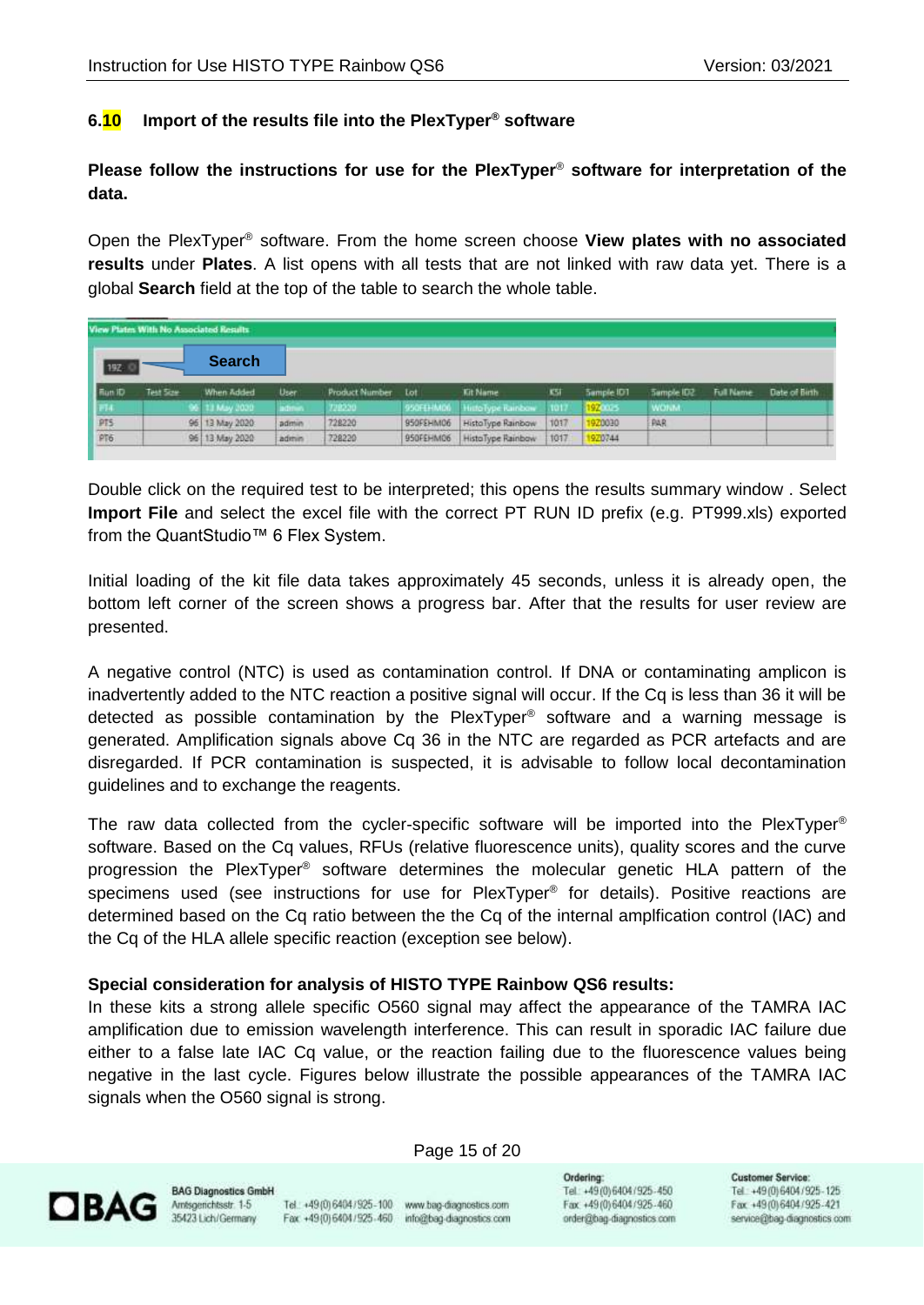# <span id="page-14-0"></span>**6.10 Import of the results file into the PlexTyper® software**

**Please follow the instructions for use for the PlexTyper**® **software for interpretation of the data.**

Open the PlexTyper® software. From the home screen choose **View plates with no associated results** under **Plates**. A list opens with all tests that are not linked with raw data yet. There is a global **Search** field at the top of the table to search the whole table.

| View Plates With No Associated Results |           |                |          |                    |           |                             |            |            |             |                  |               |
|----------------------------------------|-----------|----------------|----------|--------------------|-----------|-----------------------------|------------|------------|-------------|------------------|---------------|
| 192                                    |           | <b>Search</b>  |          |                    |           |                             |            |            |             |                  |               |
| Flun ID                                | Test Scar | When Added     | User.    | Product Number Lot |           | <b>Kit Name</b>             | <b>KSI</b> | Sample IDT | Sample ID2  | <b>Full Name</b> | Date of Birth |
| 1.774                                  |           | 96 13 May 2020 | actions. | 728230             |           | 950FEHM00 HittoType Rainbow | $-1017$    | 192003     | <b>WONA</b> |                  |               |
| $rac{PT5}{PT6}$                        |           | 96 13 May 2020 | admin    | 728220             | 950FEHM06 | HistoType Rainbow           | 1017       | 920030     | <b>PAR</b>  |                  |               |
|                                        |           | 96 13 May 2020 | admin    | 728220             | 950FEHM06 | HistoType Rainbow           | 1017       | 970744     |             |                  |               |

Double click on the required test to be interpreted; this opens the results summary window . Select **Import File** and select the excel file with the correct PT RUN ID prefix (e.g. PT999.xls) exported from the QuantStudio™ 6 Flex System.

Initial loading of the kit file data takes approximately 45 seconds, unless it is already open, the bottom left corner of the screen shows a progress bar. After that the results for user review are presented.

A negative control (NTC) is used as contamination control. If DNA or contaminating amplicon is inadvertently added to the NTC reaction a positive signal will occur. If the Cq is less than 36 it will be detected as possible contamination by the PlexTyper® software and a warning message is generated. Amplification signals above Cq 36 in the NTC are regarded as PCR artefacts and are disregarded. If PCR contamination is suspected, it is advisable to follow local decontamination guidelines and to exchange the reagents.

The raw data collected from the cycler-specific software will be imported into the PlexTyper<sup>®</sup> software. Based on the Cq values, RFUs (relative fluorescence units), quality scores and the curve progression the PlexTyper ® software determines the molecular genetic HLA pattern of the specimens used (see instructions for use for PlexTyper® for details). Positive reactions are determined based on the Cq ratio between the the Cq of the internal amplfication control (IAC) and the Cq of the HLA allele specific reaction (exception see below).

#### **Special consideration for analysis of HISTO TYPE Rainbow QS6 results:**

In these kits a strong allele specific O560 signal may affect the appearance of the TAMRA IAC amplification due to emission wavelength interference. This can result in sporadic IAC failure due either to a false late IAC Cq value, or the reaction failing due to the fluorescence values being negative in the last cycle. Figures below illustrate the possible appearances of the TAMRA IAC signals when the O560 signal is strong.

Page 15 of 20



**BAG Diagnostics GmbH** Amsgenchtsstr. 1-5 35423 Lich/Germany

Tel.: +49(0) 6404/925-100 www.bag-diagnostics.com Fax: +49(0)6404/925-460 info@bag-diagnostics.com

Ordering: Tel: +49(0)6404/925-450 Fax: +49(0)6404/925-460 order@bag-diagnostics.com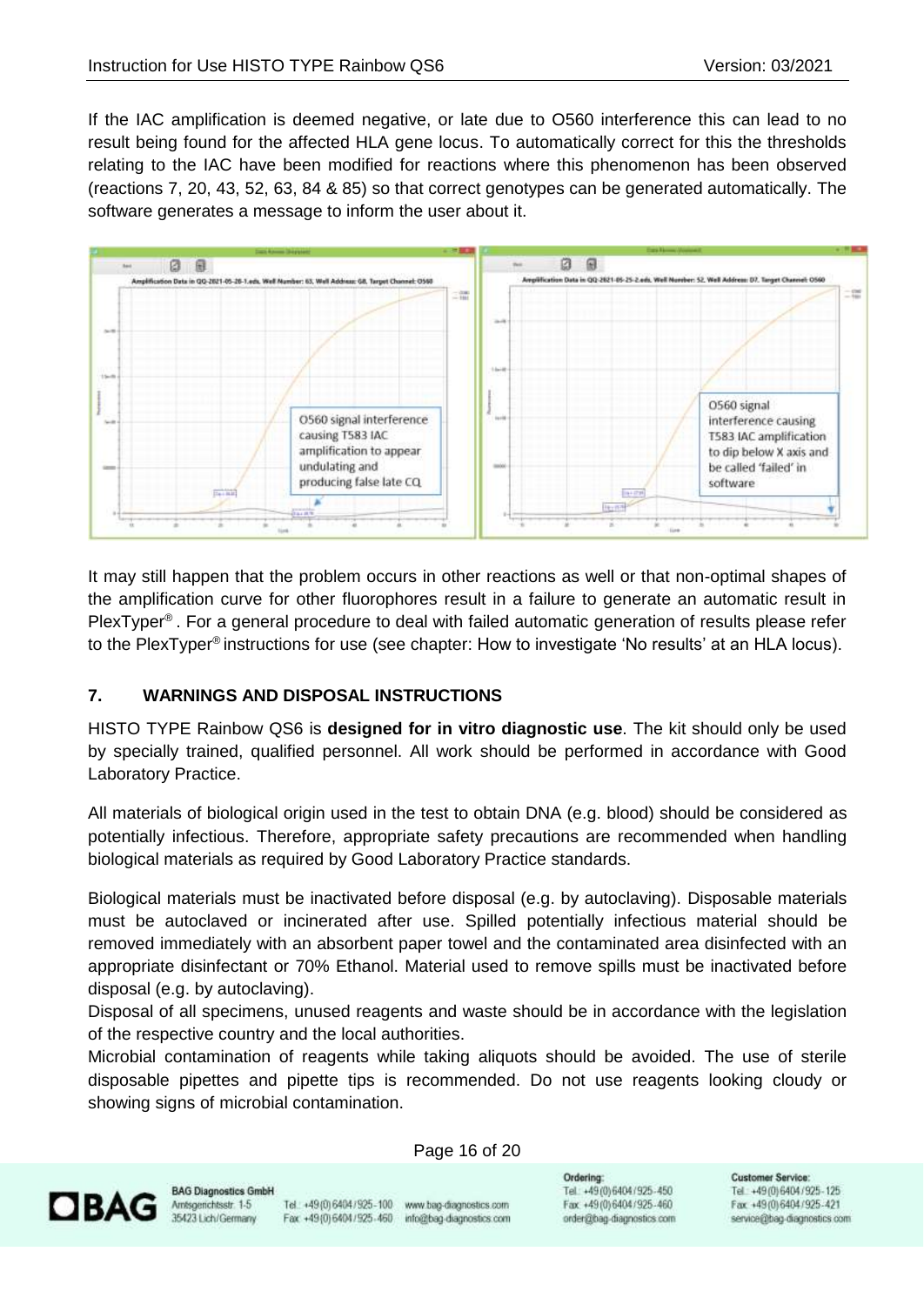If the IAC amplification is deemed negative, or late due to O560 interference this can lead to no result being found for the affected HLA gene locus. To automatically correct for this the thresholds relating to the IAC have been modified for reactions where this phenomenon has been observed (reactions 7, 20, 43, 52, 63, 84 & 85) so that correct genotypes can be generated automatically. The software generates a message to inform the user about it.



It may still happen that the problem occurs in other reactions as well or that non-optimal shapes of the amplification curve for other fluorophores result in a failure to generate an automatic result in PlexTyper® . For a general procedure to deal with failed automatic generation of results please refer to the PlexTyper® instructions for use (see chapter: How to investigate 'No results' at an HLA locus).

# <span id="page-15-0"></span>**7. WARNINGS AND DISPOSAL INSTRUCTIONS**

HISTO TYPE Rainbow QS6 is **designed for in vitro diagnostic use**. The kit should only be used by specially trained, qualified personnel. All work should be performed in accordance with Good Laboratory Practice.

All materials of biological origin used in the test to obtain DNA (e.g. blood) should be considered as potentially infectious. Therefore, appropriate safety precautions are recommended when handling biological materials as required by Good Laboratory Practice standards.

Biological materials must be inactivated before disposal (e.g. by autoclaving). Disposable materials must be autoclaved or incinerated after use. Spilled potentially infectious material should be removed immediately with an absorbent paper towel and the contaminated area disinfected with an appropriate disinfectant or 70% Ethanol. Material used to remove spills must be inactivated before disposal (e.g. by autoclaving).

Disposal of all specimens, unused reagents and waste should be in accordance with the legislation of the respective country and the local authorities.

Microbial contamination of reagents while taking aliquots should be avoided. The use of sterile disposable pipettes and pipette tips is recommended. Do not use reagents looking cloudy or showing signs of microbial contamination.



**BAG Diagnostics GmbH** Amsgenchtsstr. 1-5 35423 Lich/Germany

Tel.: +49(0) 6404 / 925-100 www.bag-diagnostics.com Fax: +49(0)6404/925-460 info@bag-diagnostics.com

Page 16 of 20

Ordering: Tel: +49(0)6404/925-450 Fax: +49(0)6404/925-460 order@bag-diagnostics.com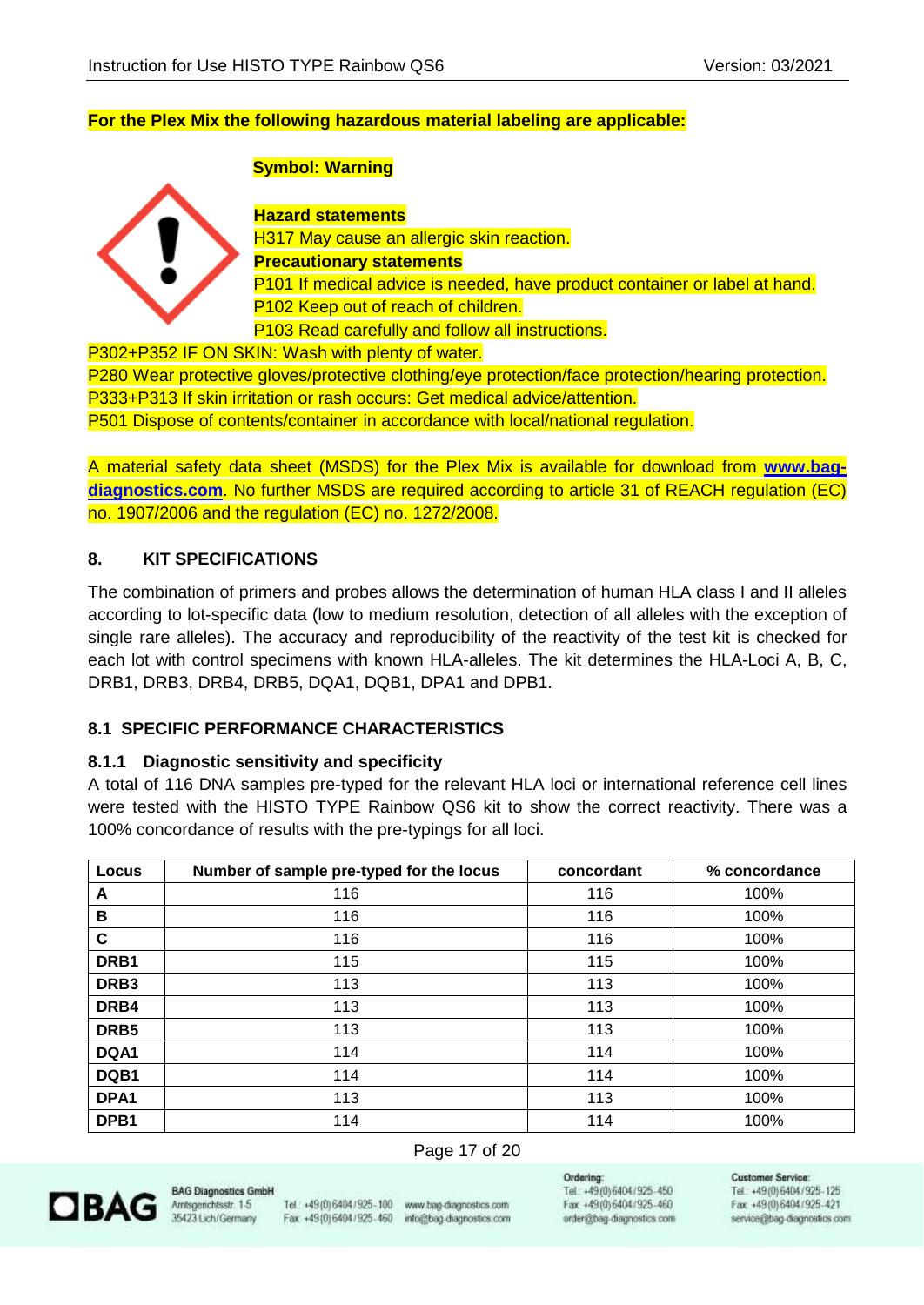## **For the Plex Mix the following hazardous material labeling are applicable:**

### **Symbol: Warning**



**Hazard statements** H317 May cause an allergic skin reaction. **Precautionary statements** P101 If medical advice is needed, have product container or label at hand. P<sub>102</sub> Keep out of reach of children. P103 Read carefully and follow all instructions.

P302+P352 IF ON SKIN: Wash with plenty of water.

P280 Wear protective gloves/protective clothing/eye protection/face protection/hearing protection. P333+P313 If skin irritation or rash occurs: Get medical advice/attention. P501 Dispose of contents/container in accordance with local/national regulation.

A material safety data sheet (MSDS) for the Plex Mix is available for download from **[www.bag](http://www.bag-diagnostics.com/)[diagnostics.com](http://www.bag-diagnostics.com/)**. No further MSDS are required according to article 31 of REACH regulation (EC) no. 1907/2006 and the regulation (EC) no. 1272/2008.

# <span id="page-16-0"></span>**8. KIT SPECIFICATIONS**

The combination of primers and probes allows the determination of human HLA class I and II alleles according to lot-specific data (low to medium resolution, detection of all alleles with the exception of single rare alleles). The accuracy and reproducibility of the reactivity of the test kit is checked for each lot with control specimens with known HLA-alleles. The kit determines the HLA-Loci A, B, C, DRB1, DRB3, DRB4, DRB5, DQA1, DQB1, DPA1 and DPB1.

# **8.1 SPECIFIC PERFORMANCE CHARACTERISTICS**

#### <span id="page-16-1"></span>**8.1.1 Diagnostic sensitivity and specificity**

A total of 116 DNA samples pre-typed for the relevant HLA loci or international reference cell lines were tested with the HISTO TYPE Rainbow QS6 kit to show the correct reactivity. There was a 100% concordance of results with the pre-typings for all loci.

| Locus            | Number of sample pre-typed for the locus | concordant | % concordance |
|------------------|------------------------------------------|------------|---------------|
| A                | 116                                      | 116        | 100%          |
| B                | 116                                      | 116        | 100%          |
| C                | 116                                      | 116        | 100%          |
| DRB1             | 115                                      | 115        | 100%          |
| DRB <sub>3</sub> | 113                                      | 113        | 100%          |
| DRB4             | 113                                      | 113        | 100%          |
| DRB5             | 113                                      | 113        | 100%          |
| DQA1             | 114                                      | 114        | 100%          |
| DQB1             | 114                                      | 114        | 100%          |
| DPA1             | 113                                      | 113        | 100%          |
| DPB <sub>1</sub> | 114                                      | 114        | 100%          |

#### Page 17 of 20



**BAG Diagnostics Gmb** Amsgenchtsstr. 1-5 35423 Lich/Germany

Tel.: +49(0) 6404/925-100 www.bag-diagnostics.com Fax: +49(0)6404/925-460

info@bag-diagnostics.com

Ordering: Tel: +49(0)6404/925-450 Fax: +49 (0) 6404 / 925 - 460 order@bag-diagnostics.com **Customer Service**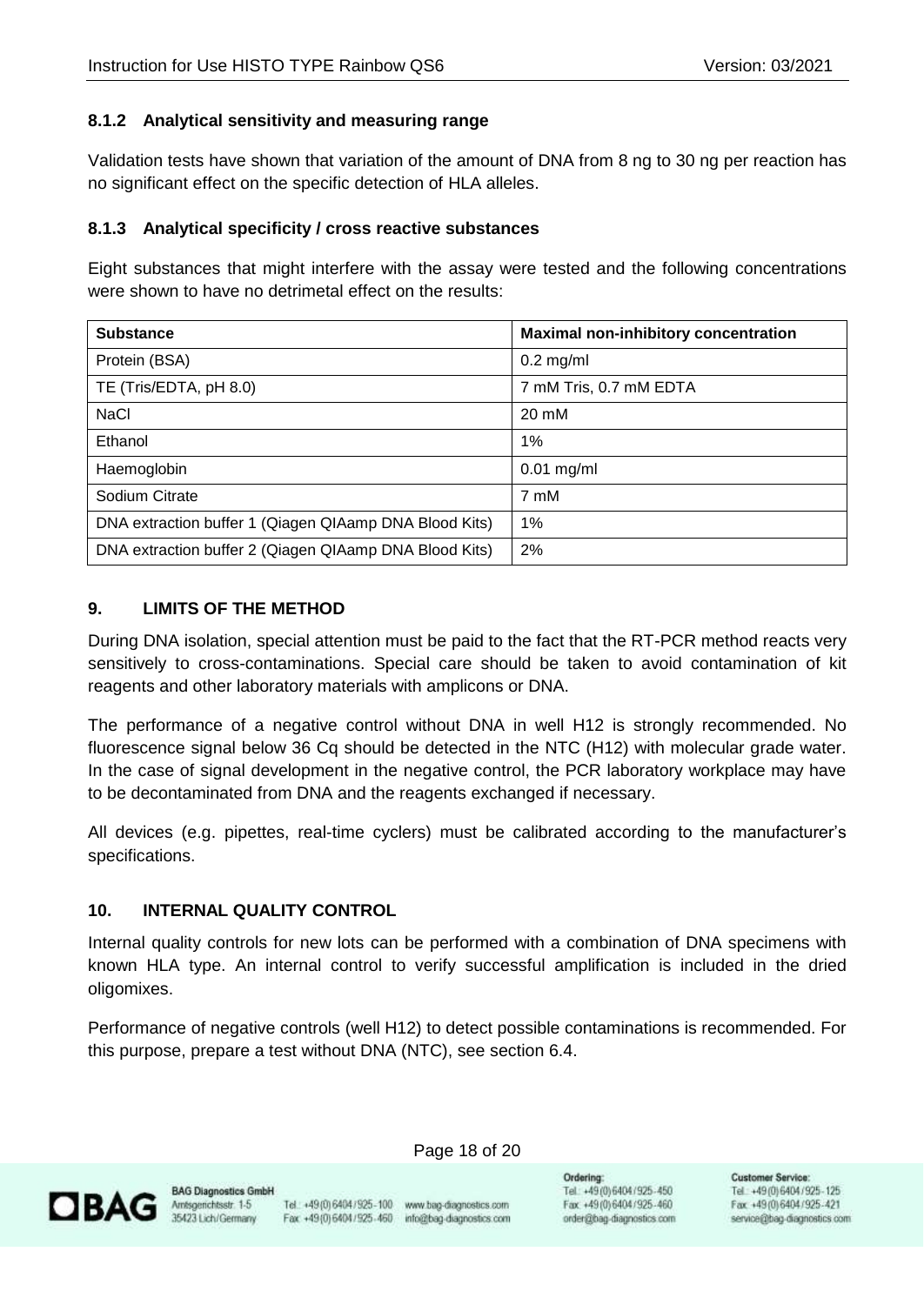# <span id="page-17-0"></span>**8.1.2 Analytical sensitivity and measuring range**

Validation tests have shown that variation of the amount of DNA from 8 ng to 30 ng per reaction has no significant effect on the specific detection of HLA alleles.

# <span id="page-17-1"></span>**8.1.3 Analytical specificity / cross reactive substances**

Eight substances that might interfere with the assay were tested and the following concentrations were shown to have no detrimetal effect on the results:

| <b>Substance</b>                                       | <b>Maximal non-inhibitory concentration</b> |
|--------------------------------------------------------|---------------------------------------------|
| Protein (BSA)                                          | $0.2$ mg/ml                                 |
| TE (Tris/EDTA, pH 8.0)                                 | 7 mM Tris, 0.7 mM EDTA                      |
| <b>NaCl</b>                                            | 20 mM                                       |
| Ethanol                                                | 1%                                          |
| Haemoglobin                                            | $0.01$ mg/ml                                |
| Sodium Citrate                                         | 7 mM                                        |
| DNA extraction buffer 1 (Qiagen QIAamp DNA Blood Kits) | $1\%$                                       |
| DNA extraction buffer 2 (Qiagen QIAamp DNA Blood Kits) | 2%                                          |

# <span id="page-17-2"></span>**9. LIMITS OF THE METHOD**

During DNA isolation, special attention must be paid to the fact that the RT-PCR method reacts very sensitively to cross-contaminations. Special care should be taken to avoid contamination of kit reagents and other laboratory materials with amplicons or DNA.

The performance of a negative control without DNA in well H12 is strongly recommended. No fluorescence signal below 36 Cq should be detected in the NTC (H12) with molecular grade water. In the case of signal development in the negative control, the PCR laboratory workplace may have to be decontaminated from DNA and the reagents exchanged if necessary.

All devices (e.g. pipettes, real-time cyclers) must be calibrated according to the manufacturer's specifications.

# <span id="page-17-3"></span>**10. INTERNAL QUALITY CONTROL**

Internal quality controls for new lots can be performed with a combination of DNA specimens with known HLA type. An internal control to verify successful amplification is included in the dried oligomixes.

Performance of negative controls (well H12) to detect possible contaminations is recommended. For this purpose, prepare a test without DNA (NTC), see section 6.4.



**BAG Diagnostics GmbH** 

Tel.: +49(0) 6404/925-100 www.bag-diagnostics.com Fax: +49(0)6404/925-460 info@bag-diagnostics.com

Page 18 of 20

Ordering: Tel: +49(0)6404/925-450 Fax: +49(0)6404/925-460 order@bag-diagnostics.com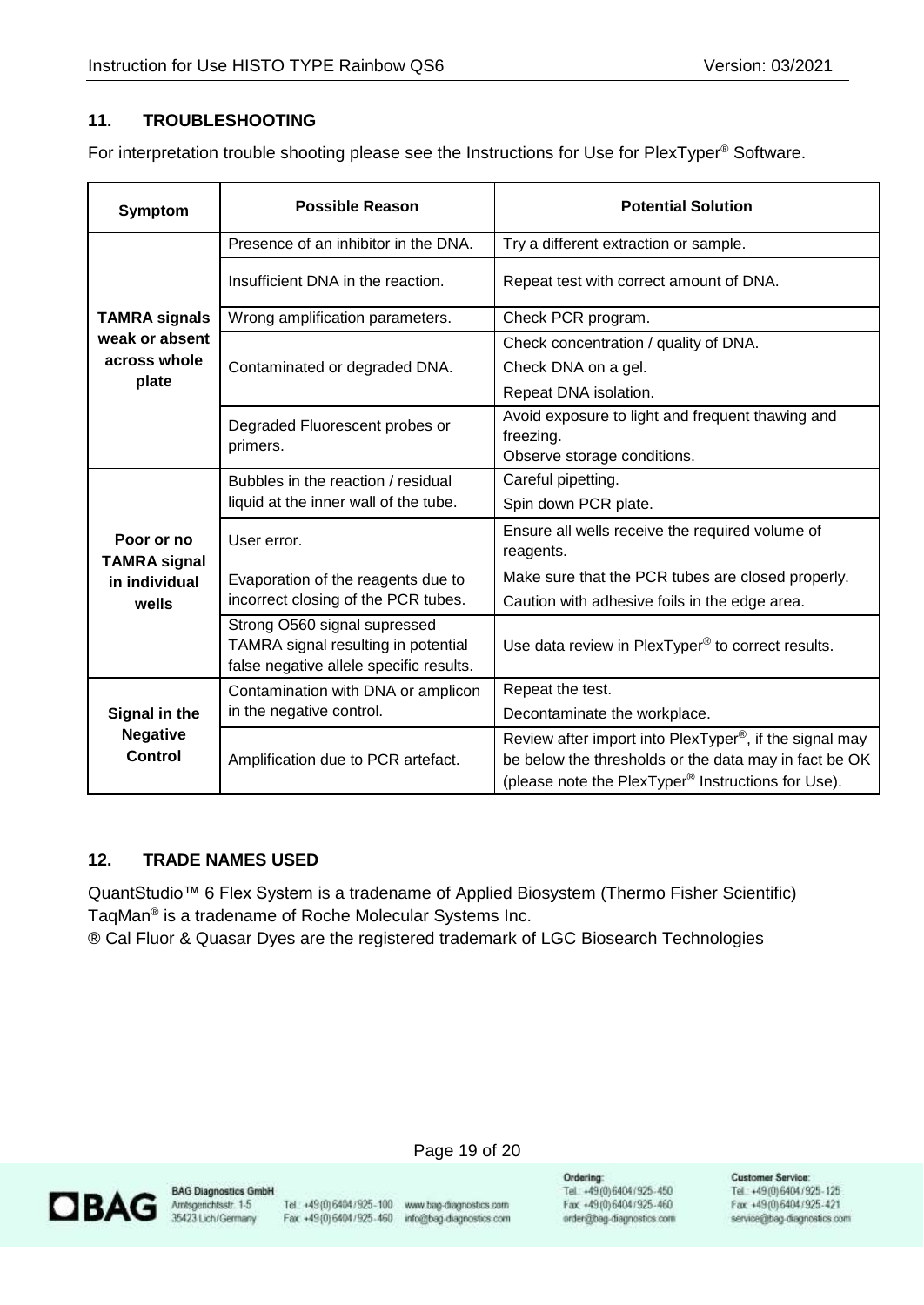# <span id="page-18-0"></span>**11. TROUBLESHOOTING**

For interpretation trouble shooting please see the Instructions for Use for PlexTyper® Software.

| <b>Symptom</b>                                     | <b>Possible Reason</b>                                                                                         | <b>Potential Solution</b>                                                                                                                                                                      |  |  |  |  |
|----------------------------------------------------|----------------------------------------------------------------------------------------------------------------|------------------------------------------------------------------------------------------------------------------------------------------------------------------------------------------------|--|--|--|--|
|                                                    | Presence of an inhibitor in the DNA.                                                                           | Try a different extraction or sample.                                                                                                                                                          |  |  |  |  |
|                                                    | Insufficient DNA in the reaction.                                                                              | Repeat test with correct amount of DNA.                                                                                                                                                        |  |  |  |  |
| <b>TAMRA signals</b>                               | Wrong amplification parameters.                                                                                | Check PCR program.                                                                                                                                                                             |  |  |  |  |
| weak or absent                                     |                                                                                                                | Check concentration / quality of DNA.                                                                                                                                                          |  |  |  |  |
| across whole                                       | Contaminated or degraded DNA.                                                                                  | Check DNA on a gel.                                                                                                                                                                            |  |  |  |  |
| plate                                              |                                                                                                                | Repeat DNA isolation.                                                                                                                                                                          |  |  |  |  |
|                                                    | Degraded Fluorescent probes or<br>primers.                                                                     | Avoid exposure to light and frequent thawing and<br>freezing.                                                                                                                                  |  |  |  |  |
|                                                    |                                                                                                                | Observe storage conditions.                                                                                                                                                                    |  |  |  |  |
|                                                    | Bubbles in the reaction / residual                                                                             | Careful pipetting.                                                                                                                                                                             |  |  |  |  |
| Poor or no<br><b>TAMRA signal</b><br>in individual | liquid at the inner wall of the tube.                                                                          | Spin down PCR plate.                                                                                                                                                                           |  |  |  |  |
|                                                    | User error.                                                                                                    | Ensure all wells receive the required volume of<br>reagents.                                                                                                                                   |  |  |  |  |
|                                                    | Evaporation of the reagents due to                                                                             | Make sure that the PCR tubes are closed properly.                                                                                                                                              |  |  |  |  |
| wells                                              | incorrect closing of the PCR tubes.                                                                            | Caution with adhesive foils in the edge area.                                                                                                                                                  |  |  |  |  |
|                                                    | Strong O560 signal supressed<br>TAMRA signal resulting in potential<br>false negative allele specific results. | Use data review in PlexTyper® to correct results.                                                                                                                                              |  |  |  |  |
|                                                    | Contamination with DNA or amplicon                                                                             | Repeat the test.                                                                                                                                                                               |  |  |  |  |
| Signal in the                                      | in the negative control.                                                                                       | Decontaminate the workplace.                                                                                                                                                                   |  |  |  |  |
| <b>Negative</b><br><b>Control</b>                  | Amplification due to PCR artefact.                                                                             | Review after import into PlexTyper <sup>®</sup> , if the signal may<br>be below the thresholds or the data may in fact be OK<br>(please note the PlexTyper <sup>®</sup> Instructions for Use). |  |  |  |  |

#### <span id="page-18-1"></span>**12. TRADE NAMES USED**

QuantStudio™ 6 Flex System is a tradename of Applied Biosystem (Thermo Fisher Scientific) TaqMan® is a tradename of Roche Molecular Systems Inc.

® Cal Fluor & Quasar Dyes are the registered trademark of LGC Biosearch Technologies



**BAG Diagnostics GmbH** 

Tel.: +49 (0) 6404 / 925 - 100 www.bag-diagnostics.com Fax: +49(0) 6404 / 925 - 460 info@bag-diagnostics.com

Page 19 of 20

Ordering: Tel: +49(0)6404/925-450 Fax: +49 (0) 6404 / 925 - 460 order@bag-diagnostics.com **Customer Service:**